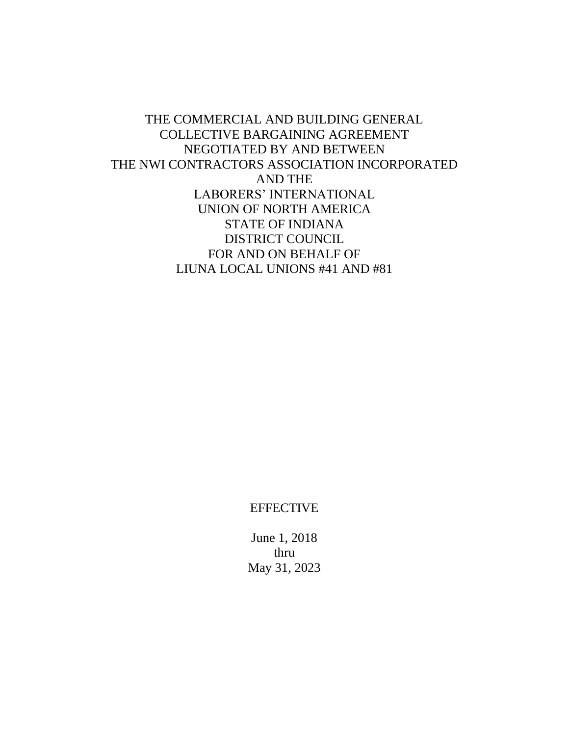THE COMMERCIAL AND BUILDING GENERAL COLLECTIVE BARGAINING AGREEMENT NEGOTIATED BY AND BETWEEN THE NWI CONTRACTORS ASSOCIATION INCORPORATED AND THE LABORERS' INTERNATIONAL UNION OF NORTH AMERICA STATE OF INDIANA DISTRICT COUNCIL FOR AND ON BEHALF OF LIUNA LOCAL UNIONS #41 AND #81

**EFFECTIVE** 

June 1, 2018 thru May 31, 2023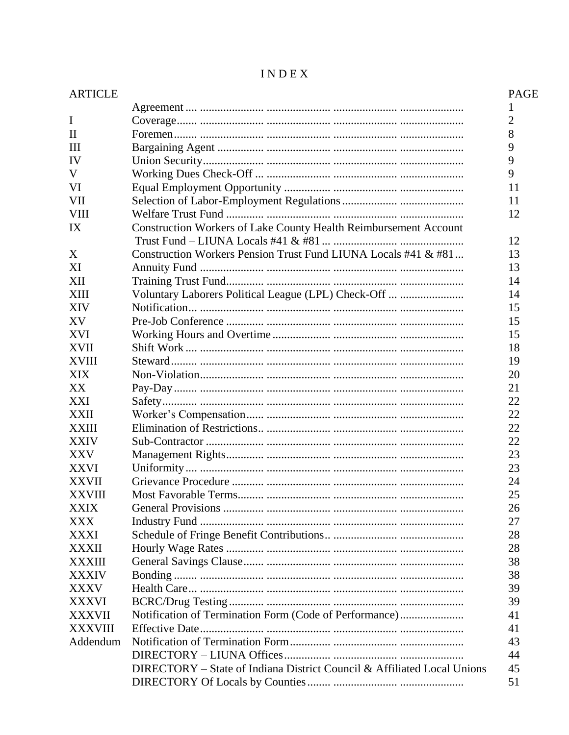| <b>ARTICLE</b> |                                                                         | <b>PAGE</b>    |
|----------------|-------------------------------------------------------------------------|----------------|
|                |                                                                         | 1              |
| I              |                                                                         | $\overline{2}$ |
| $\mathbf{I}$   |                                                                         | 8              |
| Ш              |                                                                         | 9              |
| IV             |                                                                         | 9              |
| V              |                                                                         | 9              |
| VI             |                                                                         | 11             |
| <b>VII</b>     |                                                                         | 11             |
| <b>VIII</b>    |                                                                         | 12             |
| IX             | <b>Construction Workers of Lake County Health Reimbursement Account</b> | 12             |
| X              | Construction Workers Pension Trust Fund LIUNA Locals #41 & #81          | 13             |
| XI             |                                                                         | 13             |
| XII            |                                                                         | 14             |
| XIII           | Voluntary Laborers Political League (LPL) Check-Off                     | 14             |
| <b>XIV</b>     |                                                                         | 15             |
| XV             |                                                                         | 15             |
| <b>XVI</b>     |                                                                         | 15             |
| <b>XVII</b>    |                                                                         | 18             |
| <b>XVIII</b>   |                                                                         | 19             |
| <b>XIX</b>     |                                                                         | 20             |
| XX             |                                                                         | 21             |
| XXI            |                                                                         | 22             |
| XXII           |                                                                         | 22             |
| <b>XXIII</b>   |                                                                         | 22             |
| <b>XXIV</b>    |                                                                         | 22             |
| <b>XXV</b>     |                                                                         | 23             |
| <b>XXVI</b>    |                                                                         | 23             |
| <b>XXVII</b>   |                                                                         | 24             |
| <b>XXVIII</b>  |                                                                         | 25             |
| <b>XXIX</b>    |                                                                         | 26             |
| XXX            |                                                                         | 27             |
| <b>XXXI</b>    |                                                                         | 28             |
| <b>XXXII</b>   |                                                                         | 28             |
| <b>XXXIII</b>  |                                                                         | 38             |
| <b>XXXIV</b>   |                                                                         | 38             |
| <b>XXXV</b>    |                                                                         | 39             |
| <b>XXXVI</b>   |                                                                         | 39             |
| <b>XXXVII</b>  | Notification of Termination Form (Code of Performance)                  | 41             |
| <b>XXXVIII</b> |                                                                         | 41             |
| Addendum       |                                                                         | 43             |
|                |                                                                         | 44             |
|                | DIRECTORY – State of Indiana District Council & Affiliated Local Unions | 45             |
|                |                                                                         | 51             |

# $\textbf{I} \, \textbf{N} \, \textbf{D} \, \textbf{E} \, \textbf{X}$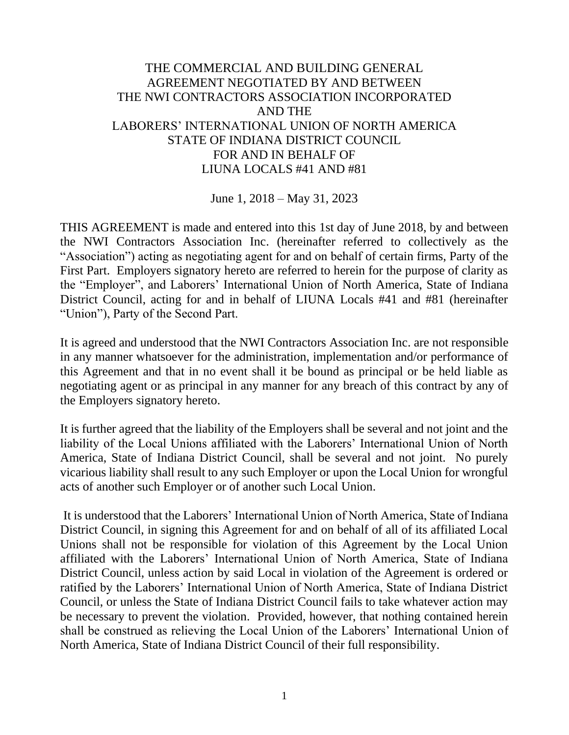# THE COMMERCIAL AND BUILDING GENERAL AGREEMENT NEGOTIATED BY AND BETWEEN THE NWI CONTRACTORS ASSOCIATION INCORPORATED AND THE LABORERS' INTERNATIONAL UNION OF NORTH AMERICA STATE OF INDIANA DISTRICT COUNCIL FOR AND IN BEHALF OF LIUNA LOCALS #41 AND #81

June 1, 2018 – May 31, 2023

THIS AGREEMENT is made and entered into this 1st day of June 2018, by and between the NWI Contractors Association Inc. (hereinafter referred to collectively as the "Association") acting as negotiating agent for and on behalf of certain firms, Party of the First Part. Employers signatory hereto are referred to herein for the purpose of clarity as the "Employer", and Laborers' International Union of North America, State of Indiana District Council, acting for and in behalf of LIUNA Locals #41 and #81 (hereinafter "Union"), Party of the Second Part.

It is agreed and understood that the NWI Contractors Association Inc. are not responsible in any manner whatsoever for the administration, implementation and/or performance of this Agreement and that in no event shall it be bound as principal or be held liable as negotiating agent or as principal in any manner for any breach of this contract by any of the Employers signatory hereto.

It is further agreed that the liability of the Employers shall be several and not joint and the liability of the Local Unions affiliated with the Laborers' International Union of North America, State of Indiana District Council, shall be several and not joint. No purely vicarious liability shall result to any such Employer or upon the Local Union for wrongful acts of another such Employer or of another such Local Union.

It is understood that the Laborers' International Union of North America, State of Indiana District Council, in signing this Agreement for and on behalf of all of its affiliated Local Unions shall not be responsible for violation of this Agreement by the Local Union affiliated with the Laborers' International Union of North America, State of Indiana District Council, unless action by said Local in violation of the Agreement is ordered or ratified by the Laborers' International Union of North America, State of Indiana District Council, or unless the State of Indiana District Council fails to take whatever action may be necessary to prevent the violation. Provided, however, that nothing contained herein shall be construed as relieving the Local Union of the Laborers' International Union of North America, State of Indiana District Council of their full responsibility.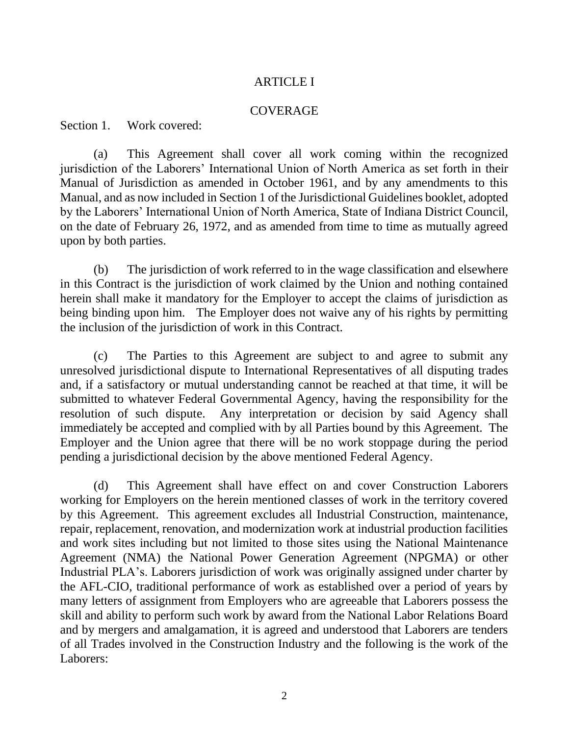## ARTICLE I

## COVERAGE

Section 1. Work covered:

(a) This Agreement shall cover all work coming within the recognized jurisdiction of the Laborers' International Union of North America as set forth in their Manual of Jurisdiction as amended in October 1961, and by any amendments to this Manual, and as now included in Section 1 of the Jurisdictional Guidelines booklet, adopted by the Laborers' International Union of North America, State of Indiana District Council, on the date of February 26, 1972, and as amended from time to time as mutually agreed upon by both parties.

(b) The jurisdiction of work referred to in the wage classification and elsewhere in this Contract is the jurisdiction of work claimed by the Union and nothing contained herein shall make it mandatory for the Employer to accept the claims of jurisdiction as being binding upon him. The Employer does not waive any of his rights by permitting the inclusion of the jurisdiction of work in this Contract.

 (c) The Parties to this Agreement are subject to and agree to submit any unresolved jurisdictional dispute to International Representatives of all disputing trades and, if a satisfactory or mutual understanding cannot be reached at that time, it will be submitted to whatever Federal Governmental Agency, having the responsibility for the resolution of such dispute. Any interpretation or decision by said Agency shall immediately be accepted and complied with by all Parties bound by this Agreement. The Employer and the Union agree that there will be no work stoppage during the period pending a jurisdictional decision by the above mentioned Federal Agency.

(d) This Agreement shall have effect on and cover Construction Laborers working for Employers on the herein mentioned classes of work in the territory covered by this Agreement. This agreement excludes all Industrial Construction, maintenance, repair, replacement, renovation, and modernization work at industrial production facilities and work sites including but not limited to those sites using the National Maintenance Agreement (NMA) the National Power Generation Agreement (NPGMA) or other Industrial PLA's. Laborers jurisdiction of work was originally assigned under charter by the AFL-CIO, traditional performance of work as established over a period of years by many letters of assignment from Employers who are agreeable that Laborers possess the skill and ability to perform such work by award from the National Labor Relations Board and by mergers and amalgamation, it is agreed and understood that Laborers are tenders of all Trades involved in the Construction Industry and the following is the work of the Laborers: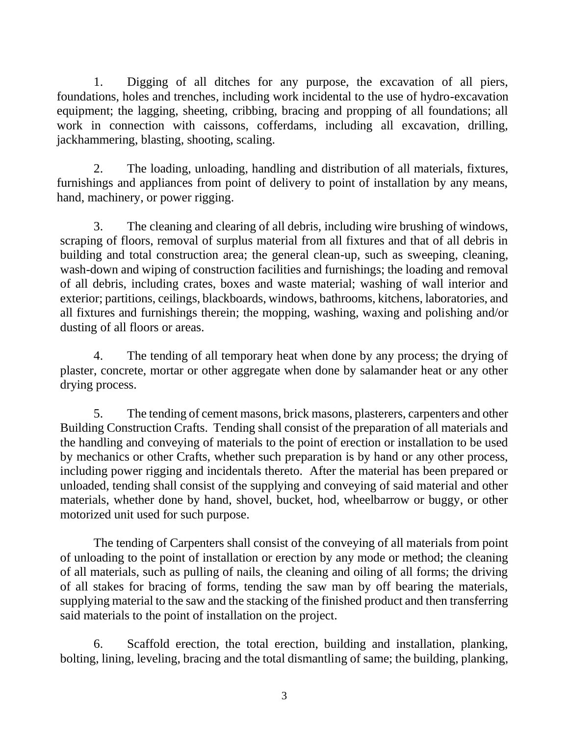1. Digging of all ditches for any purpose, the excavation of all piers, foundations, holes and trenches, including work incidental to the use of hydro-excavation equipment; the lagging, sheeting, cribbing, bracing and propping of all foundations; all work in connection with caissons, cofferdams, including all excavation, drilling, jackhammering, blasting, shooting, scaling.

2. The loading, unloading, handling and distribution of all materials, fixtures, furnishings and appliances from point of delivery to point of installation by any means, hand, machinery, or power rigging.

3. The cleaning and clearing of all debris, including wire brushing of windows, scraping of floors, removal of surplus material from all fixtures and that of all debris in building and total construction area; the general clean-up, such as sweeping, cleaning, wash-down and wiping of construction facilities and furnishings; the loading and removal of all debris, including crates, boxes and waste material; washing of wall interior and exterior; partitions, ceilings, blackboards, windows, bathrooms, kitchens, laboratories, and all fixtures and furnishings therein; the mopping, washing, waxing and polishing and/or dusting of all floors or areas.

4. The tending of all temporary heat when done by any process; the drying of plaster, concrete, mortar or other aggregate when done by salamander heat or any other drying process.

5. The tending of cement masons, brick masons, plasterers, carpenters and other Building Construction Crafts. Tending shall consist of the preparation of all materials and the handling and conveying of materials to the point of erection or installation to be used by mechanics or other Crafts, whether such preparation is by hand or any other process, including power rigging and incidentals thereto. After the material has been prepared or unloaded, tending shall consist of the supplying and conveying of said material and other materials, whether done by hand, shovel, bucket, hod, wheelbarrow or buggy, or other motorized unit used for such purpose.

The tending of Carpenters shall consist of the conveying of all materials from point of unloading to the point of installation or erection by any mode or method; the cleaning of all materials, such as pulling of nails, the cleaning and oiling of all forms; the driving of all stakes for bracing of forms, tending the saw man by off bearing the materials, supplying material to the saw and the stacking of the finished product and then transferring said materials to the point of installation on the project.

6. Scaffold erection, the total erection, building and installation, planking, bolting, lining, leveling, bracing and the total dismantling of same; the building, planking,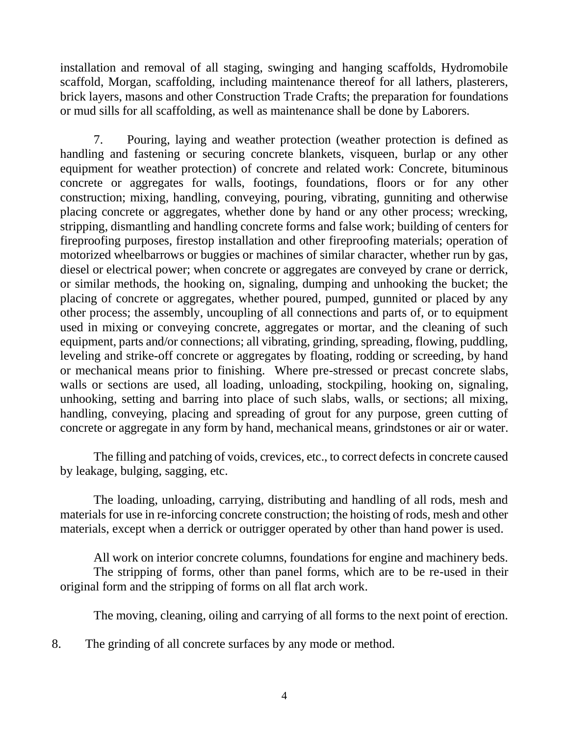installation and removal of all staging, swinging and hanging scaffolds, Hydromobile scaffold, Morgan, scaffolding, including maintenance thereof for all lathers, plasterers, brick layers, masons and other Construction Trade Crafts; the preparation for foundations or mud sills for all scaffolding, as well as maintenance shall be done by Laborers.

7. Pouring, laying and weather protection (weather protection is defined as handling and fastening or securing concrete blankets, visqueen, burlap or any other equipment for weather protection) of concrete and related work: Concrete, bituminous concrete or aggregates for walls, footings, foundations, floors or for any other construction; mixing, handling, conveying, pouring, vibrating, gunniting and otherwise placing concrete or aggregates, whether done by hand or any other process; wrecking, stripping, dismantling and handling concrete forms and false work; building of centers for fireproofing purposes, firestop installation and other fireproofing materials; operation of motorized wheelbarrows or buggies or machines of similar character, whether run by gas, diesel or electrical power; when concrete or aggregates are conveyed by crane or derrick, or similar methods, the hooking on, signaling, dumping and unhooking the bucket; the placing of concrete or aggregates, whether poured, pumped, gunnited or placed by any other process; the assembly, uncoupling of all connections and parts of, or to equipment used in mixing or conveying concrete, aggregates or mortar, and the cleaning of such equipment, parts and/or connections; all vibrating, grinding, spreading, flowing, puddling, leveling and strike-off concrete or aggregates by floating, rodding or screeding, by hand or mechanical means prior to finishing. Where pre-stressed or precast concrete slabs, walls or sections are used, all loading, unloading, stockpiling, hooking on, signaling, unhooking, setting and barring into place of such slabs, walls, or sections; all mixing, handling, conveying, placing and spreading of grout for any purpose, green cutting of concrete or aggregate in any form by hand, mechanical means, grindstones or air or water.

The filling and patching of voids, crevices, etc., to correct defects in concrete caused by leakage, bulging, sagging, etc.

The loading, unloading, carrying, distributing and handling of all rods, mesh and materials for use in re-inforcing concrete construction; the hoisting of rods, mesh and other materials, except when a derrick or outrigger operated by other than hand power is used.

All work on interior concrete columns, foundations for engine and machinery beds. The stripping of forms, other than panel forms, which are to be re-used in their original form and the stripping of forms on all flat arch work.

The moving, cleaning, oiling and carrying of all forms to the next point of erection.

8. The grinding of all concrete surfaces by any mode or method.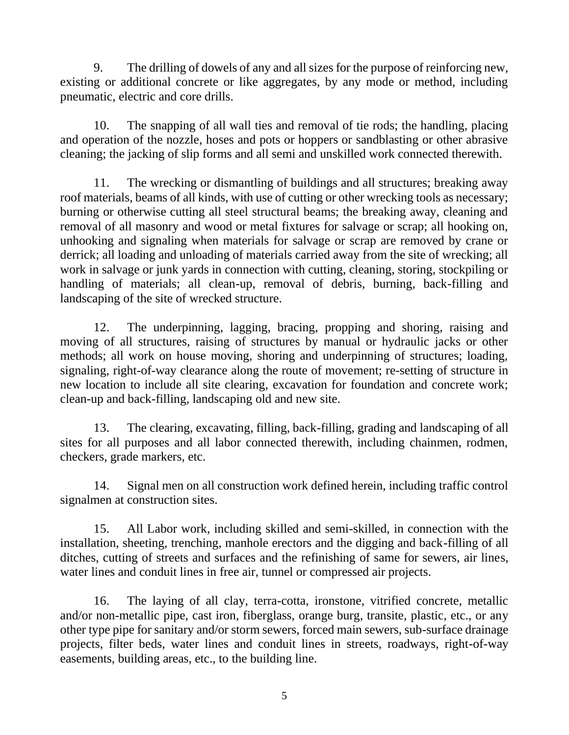9. The drilling of dowels of any and all sizes for the purpose of reinforcing new, existing or additional concrete or like aggregates, by any mode or method, including pneumatic, electric and core drills.

10. The snapping of all wall ties and removal of tie rods; the handling, placing and operation of the nozzle, hoses and pots or hoppers or sandblasting or other abrasive cleaning; the jacking of slip forms and all semi and unskilled work connected therewith.

11. The wrecking or dismantling of buildings and all structures; breaking away roof materials, beams of all kinds, with use of cutting or other wrecking tools as necessary; burning or otherwise cutting all steel structural beams; the breaking away, cleaning and removal of all masonry and wood or metal fixtures for salvage or scrap; all hooking on, unhooking and signaling when materials for salvage or scrap are removed by crane or derrick; all loading and unloading of materials carried away from the site of wrecking; all work in salvage or junk yards in connection with cutting, cleaning, storing, stockpiling or handling of materials; all clean-up, removal of debris, burning, back-filling and landscaping of the site of wrecked structure.

12. The underpinning, lagging, bracing, propping and shoring, raising and moving of all structures, raising of structures by manual or hydraulic jacks or other methods; all work on house moving, shoring and underpinning of structures; loading, signaling, right-of-way clearance along the route of movement; re-setting of structure in new location to include all site clearing, excavation for foundation and concrete work; clean-up and back-filling, landscaping old and new site.

13. The clearing, excavating, filling, back-filling, grading and landscaping of all sites for all purposes and all labor connected therewith, including chainmen, rodmen, checkers, grade markers, etc.

14. Signal men on all construction work defined herein, including traffic control signalmen at construction sites.

15. All Labor work, including skilled and semi-skilled, in connection with the installation, sheeting, trenching, manhole erectors and the digging and back-filling of all ditches, cutting of streets and surfaces and the refinishing of same for sewers, air lines, water lines and conduit lines in free air, tunnel or compressed air projects.

16. The laying of all clay, terra-cotta, ironstone, vitrified concrete, metallic and/or non-metallic pipe, cast iron, fiberglass, orange burg, transite, plastic, etc., or any other type pipe for sanitary and/or storm sewers, forced main sewers, sub-surface drainage projects, filter beds, water lines and conduit lines in streets, roadways, right-of-way easements, building areas, etc., to the building line.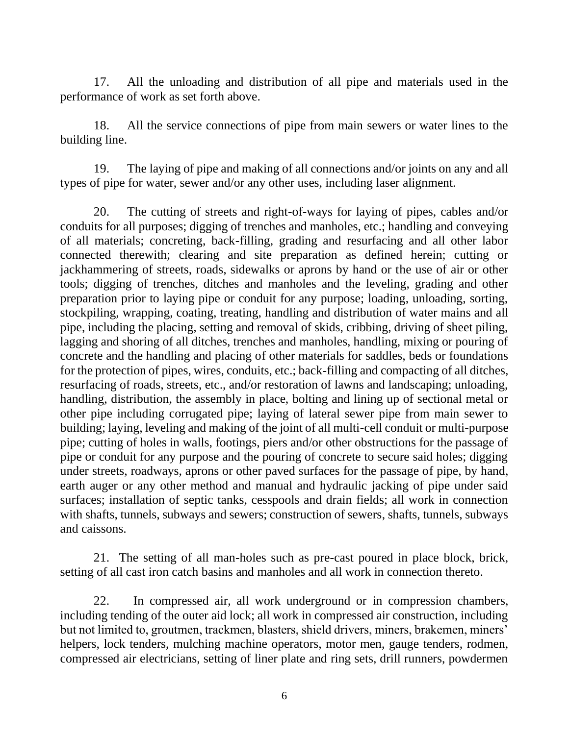17. All the unloading and distribution of all pipe and materials used in the performance of work as set forth above.

18. All the service connections of pipe from main sewers or water lines to the building line.

19. The laying of pipe and making of all connections and/or joints on any and all types of pipe for water, sewer and/or any other uses, including laser alignment.

20. The cutting of streets and right-of-ways for laying of pipes, cables and/or conduits for all purposes; digging of trenches and manholes, etc.; handling and conveying of all materials; concreting, back-filling, grading and resurfacing and all other labor connected therewith; clearing and site preparation as defined herein; cutting or jackhammering of streets, roads, sidewalks or aprons by hand or the use of air or other tools; digging of trenches, ditches and manholes and the leveling, grading and other preparation prior to laying pipe or conduit for any purpose; loading, unloading, sorting, stockpiling, wrapping, coating, treating, handling and distribution of water mains and all pipe, including the placing, setting and removal of skids, cribbing, driving of sheet piling, lagging and shoring of all ditches, trenches and manholes, handling, mixing or pouring of concrete and the handling and placing of other materials for saddles, beds or foundations for the protection of pipes, wires, conduits, etc.; back-filling and compacting of all ditches, resurfacing of roads, streets, etc., and/or restoration of lawns and landscaping; unloading, handling, distribution, the assembly in place, bolting and lining up of sectional metal or other pipe including corrugated pipe; laying of lateral sewer pipe from main sewer to building; laying, leveling and making of the joint of all multi-cell conduit or multi-purpose pipe; cutting of holes in walls, footings, piers and/or other obstructions for the passage of pipe or conduit for any purpose and the pouring of concrete to secure said holes; digging under streets, roadways, aprons or other paved surfaces for the passage of pipe, by hand, earth auger or any other method and manual and hydraulic jacking of pipe under said surfaces; installation of septic tanks, cesspools and drain fields; all work in connection with shafts, tunnels, subways and sewers; construction of sewers, shafts, tunnels, subways and caissons.

21. The setting of all man-holes such as pre-cast poured in place block, brick, setting of all cast iron catch basins and manholes and all work in connection thereto.

22. In compressed air, all work underground or in compression chambers, including tending of the outer aid lock; all work in compressed air construction, including but not limited to, groutmen, trackmen, blasters, shield drivers, miners, brakemen, miners' helpers, lock tenders, mulching machine operators, motor men, gauge tenders, rodmen, compressed air electricians, setting of liner plate and ring sets, drill runners, powdermen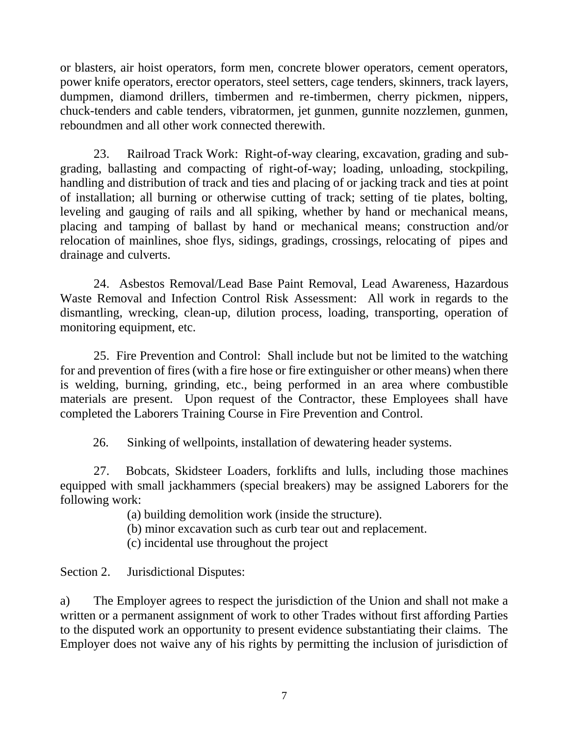or blasters, air hoist operators, form men, concrete blower operators, cement operators, power knife operators, erector operators, steel setters, cage tenders, skinners, track layers, dumpmen, diamond drillers, timbermen and re-timbermen, cherry pickmen, nippers, chuck-tenders and cable tenders, vibratormen, jet gunmen, gunnite nozzlemen, gunmen, reboundmen and all other work connected therewith.

23. Railroad Track Work: Right-of-way clearing, excavation, grading and subgrading, ballasting and compacting of right-of-way; loading, unloading, stockpiling, handling and distribution of track and ties and placing of or jacking track and ties at point of installation; all burning or otherwise cutting of track; setting of tie plates, bolting, leveling and gauging of rails and all spiking, whether by hand or mechanical means, placing and tamping of ballast by hand or mechanical means; construction and/or relocation of mainlines, shoe flys, sidings, gradings, crossings, relocating of pipes and drainage and culverts.

24. Asbestos Removal/Lead Base Paint Removal, Lead Awareness, Hazardous Waste Removal and Infection Control Risk Assessment: All work in regards to the dismantling, wrecking, clean-up, dilution process, loading, transporting, operation of monitoring equipment, etc.

25. Fire Prevention and Control: Shall include but not be limited to the watching for and prevention of fires (with a fire hose or fire extinguisher or other means) when there is welding, burning, grinding, etc., being performed in an area where combustible materials are present. Upon request of the Contractor, these Employees shall have completed the Laborers Training Course in Fire Prevention and Control.

26. Sinking of wellpoints, installation of dewatering header systems.

27. Bobcats, Skidsteer Loaders, forklifts and lulls, including those machines equipped with small jackhammers (special breakers) may be assigned Laborers for the following work:

(a) building demolition work (inside the structure).

(b) minor excavation such as curb tear out and replacement.

(c) incidental use throughout the project

Section 2. Jurisdictional Disputes:

a) The Employer agrees to respect the jurisdiction of the Union and shall not make a written or a permanent assignment of work to other Trades without first affording Parties to the disputed work an opportunity to present evidence substantiating their claims. The Employer does not waive any of his rights by permitting the inclusion of jurisdiction of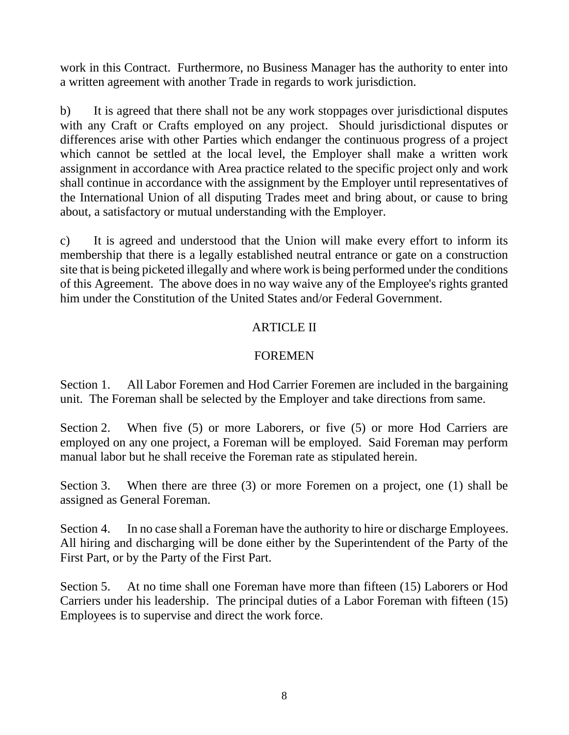work in this Contract. Furthermore, no Business Manager has the authority to enter into a written agreement with another Trade in regards to work jurisdiction.

b) It is agreed that there shall not be any work stoppages over jurisdictional disputes with any Craft or Crafts employed on any project. Should jurisdictional disputes or differences arise with other Parties which endanger the continuous progress of a project which cannot be settled at the local level, the Employer shall make a written work assignment in accordance with Area practice related to the specific project only and work shall continue in accordance with the assignment by the Employer until representatives of the International Union of all disputing Trades meet and bring about, or cause to bring about, a satisfactory or mutual understanding with the Employer.

c) It is agreed and understood that the Union will make every effort to inform its membership that there is a legally established neutral entrance or gate on a construction site that is being picketed illegally and where work is being performed under the conditions of this Agreement. The above does in no way waive any of the Employee's rights granted him under the Constitution of the United States and/or Federal Government.

# ARTICLE II

# FOREMEN

Section 1. All Labor Foremen and Hod Carrier Foremen are included in the bargaining unit. The Foreman shall be selected by the Employer and take directions from same.

Section 2. When five (5) or more Laborers, or five (5) or more Hod Carriers are employed on any one project, a Foreman will be employed. Said Foreman may perform manual labor but he shall receive the Foreman rate as stipulated herein.

Section 3. When there are three (3) or more Foremen on a project, one (1) shall be assigned as General Foreman.

Section 4. In no case shall a Foreman have the authority to hire or discharge Employees. All hiring and discharging will be done either by the Superintendent of the Party of the First Part, or by the Party of the First Part.

Section 5. At no time shall one Foreman have more than fifteen (15) Laborers or Hod Carriers under his leadership. The principal duties of a Labor Foreman with fifteen (15) Employees is to supervise and direct the work force.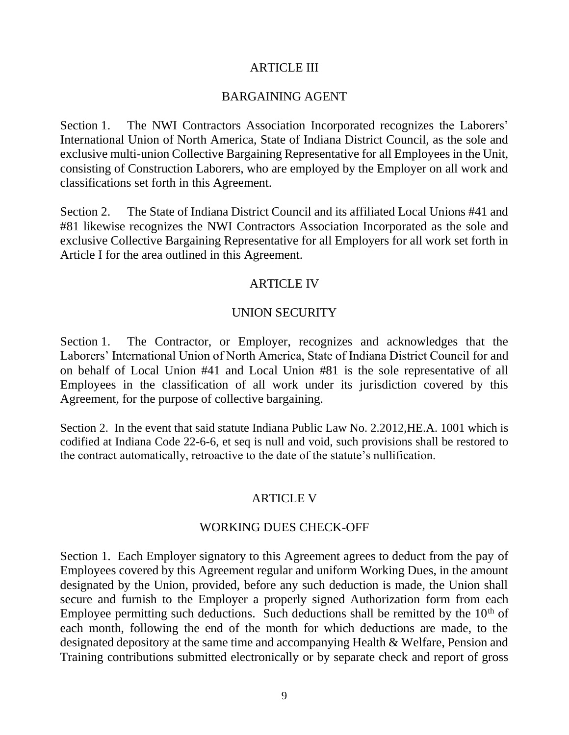### ARTICLE III

### BARGAINING AGENT

Section 1. The NWI Contractors Association Incorporated recognizes the Laborers' International Union of North America, State of Indiana District Council, as the sole and exclusive multi-union Collective Bargaining Representative for all Employees in the Unit, consisting of Construction Laborers, who are employed by the Employer on all work and classifications set forth in this Agreement.

Section 2. The State of Indiana District Council and its affiliated Local Unions #41 and #81 likewise recognizes the NWI Contractors Association Incorporated as the sole and exclusive Collective Bargaining Representative for all Employers for all work set forth in Article I for the area outlined in this Agreement.

## ARTICLE IV

## UNION SECURITY

Section 1. The Contractor, or Employer, recognizes and acknowledges that the Laborers' International Union of North America, State of Indiana District Council for and on behalf of Local Union #41 and Local Union #81 is the sole representative of all Employees in the classification of all work under its jurisdiction covered by this Agreement, for the purpose of collective bargaining.

Section 2. In the event that said statute Indiana Public Law No. 2.2012,HE.A. 1001 which is codified at Indiana Code 22-6-6, et seq is null and void, such provisions shall be restored to the contract automatically, retroactive to the date of the statute's nullification.

## ARTICLE V

#### WORKING DUES CHECK-OFF

Section 1. Each Employer signatory to this Agreement agrees to deduct from the pay of Employees covered by this Agreement regular and uniform Working Dues, in the amount designated by the Union, provided, before any such deduction is made, the Union shall secure and furnish to the Employer a properly signed Authorization form from each Employee permitting such deductions. Such deductions shall be remitted by the  $10<sup>th</sup>$  of each month, following the end of the month for which deductions are made, to the designated depository at the same time and accompanying Health & Welfare, Pension and Training contributions submitted electronically or by separate check and report of gross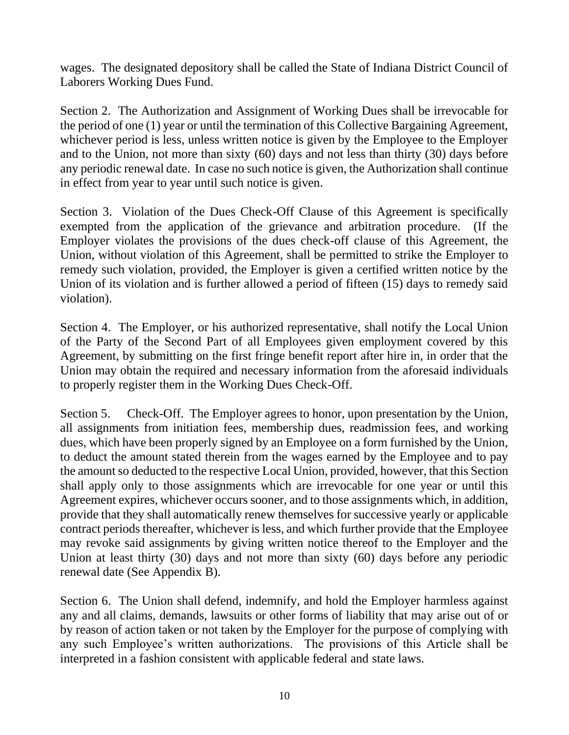wages. The designated depository shall be called the State of Indiana District Council of Laborers Working Dues Fund.

Section 2. The Authorization and Assignment of Working Dues shall be irrevocable for the period of one (1) year or until the termination of this Collective Bargaining Agreement, whichever period is less, unless written notice is given by the Employee to the Employer and to the Union, not more than sixty (60) days and not less than thirty (30) days before any periodic renewal date. In case no such notice is given, the Authorization shall continue in effect from year to year until such notice is given.

Section 3. Violation of the Dues Check-Off Clause of this Agreement is specifically exempted from the application of the grievance and arbitration procedure. (If the Employer violates the provisions of the dues check-off clause of this Agreement, the Union, without violation of this Agreement, shall be permitted to strike the Employer to remedy such violation, provided, the Employer is given a certified written notice by the Union of its violation and is further allowed a period of fifteen (15) days to remedy said violation).

Section 4. The Employer, or his authorized representative, shall notify the Local Union of the Party of the Second Part of all Employees given employment covered by this Agreement, by submitting on the first fringe benefit report after hire in, in order that the Union may obtain the required and necessary information from the aforesaid individuals to properly register them in the Working Dues Check-Off.

Section 5. Check-Off. The Employer agrees to honor, upon presentation by the Union, all assignments from initiation fees, membership dues, readmission fees, and working dues, which have been properly signed by an Employee on a form furnished by the Union, to deduct the amount stated therein from the wages earned by the Employee and to pay the amount so deducted to the respective Local Union, provided, however, that this Section shall apply only to those assignments which are irrevocable for one year or until this Agreement expires, whichever occurs sooner, and to those assignments which, in addition, provide that they shall automatically renew themselves for successive yearly or applicable contract periods thereafter, whichever is less, and which further provide that the Employee may revoke said assignments by giving written notice thereof to the Employer and the Union at least thirty (30) days and not more than sixty (60) days before any periodic renewal date (See Appendix B).

Section 6. The Union shall defend, indemnify, and hold the Employer harmless against any and all claims, demands, lawsuits or other forms of liability that may arise out of or by reason of action taken or not taken by the Employer for the purpose of complying with any such Employee's written authorizations. The provisions of this Article shall be interpreted in a fashion consistent with applicable federal and state laws.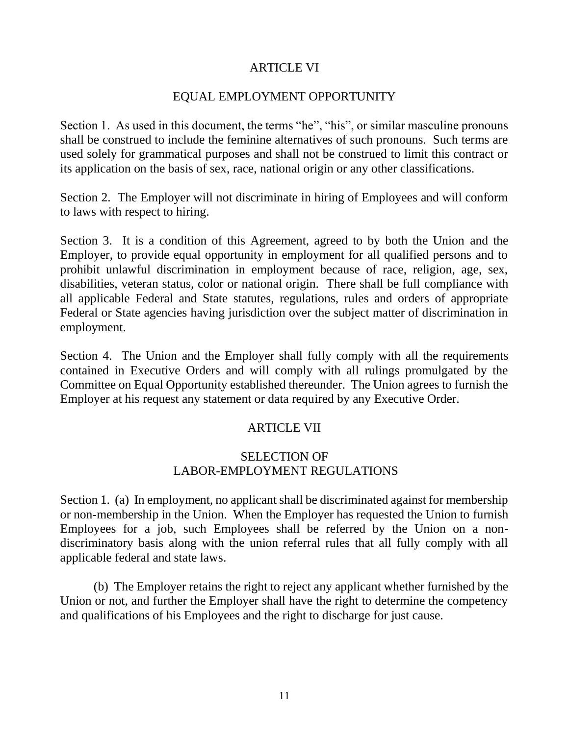## ARTICLE VI

## EQUAL EMPLOYMENT OPPORTUNITY

Section 1. As used in this document, the terms "he", "his", or similar masculine pronouns shall be construed to include the feminine alternatives of such pronouns. Such terms are used solely for grammatical purposes and shall not be construed to limit this contract or its application on the basis of sex, race, national origin or any other classifications.

Section 2. The Employer will not discriminate in hiring of Employees and will conform to laws with respect to hiring.

Section 3. It is a condition of this Agreement, agreed to by both the Union and the Employer, to provide equal opportunity in employment for all qualified persons and to prohibit unlawful discrimination in employment because of race, religion, age, sex, disabilities, veteran status, color or national origin. There shall be full compliance with all applicable Federal and State statutes, regulations, rules and orders of appropriate Federal or State agencies having jurisdiction over the subject matter of discrimination in employment.

Section 4. The Union and the Employer shall fully comply with all the requirements contained in Executive Orders and will comply with all rulings promulgated by the Committee on Equal Opportunity established thereunder. The Union agrees to furnish the Employer at his request any statement or data required by any Executive Order.

## ARTICLE VII

## SELECTION OF LABOR-EMPLOYMENT REGULATIONS

Section 1. (a) In employment, no applicant shall be discriminated against for membership or non-membership in the Union. When the Employer has requested the Union to furnish Employees for a job, such Employees shall be referred by the Union on a nondiscriminatory basis along with the union referral rules that all fully comply with all applicable federal and state laws.

(b) The Employer retains the right to reject any applicant whether furnished by the Union or not, and further the Employer shall have the right to determine the competency and qualifications of his Employees and the right to discharge for just cause.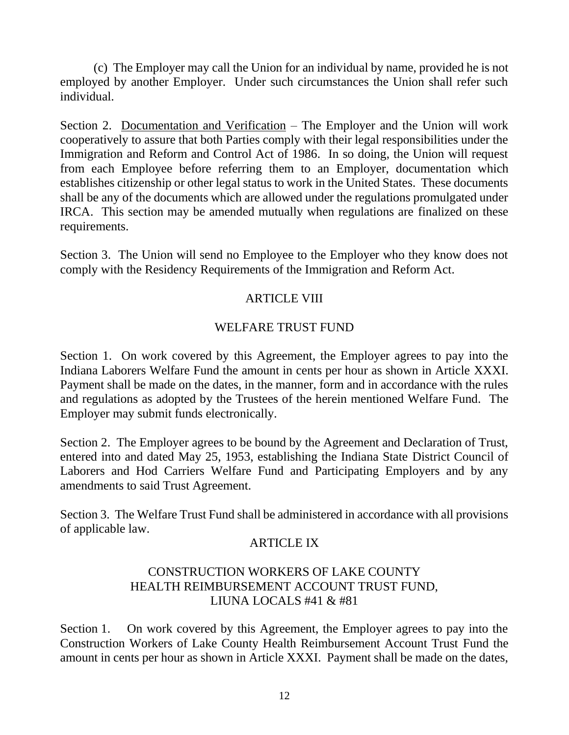(c) The Employer may call the Union for an individual by name, provided he is not employed by another Employer. Under such circumstances the Union shall refer such individual.

Section 2. Documentation and Verification – The Employer and the Union will work cooperatively to assure that both Parties comply with their legal responsibilities under the Immigration and Reform and Control Act of 1986. In so doing, the Union will request from each Employee before referring them to an Employer, documentation which establishes citizenship or other legal status to work in the United States. These documents shall be any of the documents which are allowed under the regulations promulgated under IRCA. This section may be amended mutually when regulations are finalized on these requirements.

Section 3. The Union will send no Employee to the Employer who they know does not comply with the Residency Requirements of the Immigration and Reform Act.

# **ARTICLE VIII**

# WELFARE TRUST FUND

Section 1. On work covered by this Agreement, the Employer agrees to pay into the Indiana Laborers Welfare Fund the amount in cents per hour as shown in Article XXXI. Payment shall be made on the dates, in the manner, form and in accordance with the rules and regulations as adopted by the Trustees of the herein mentioned Welfare Fund. The Employer may submit funds electronically.

Section 2. The Employer agrees to be bound by the Agreement and Declaration of Trust, entered into and dated May 25, 1953, establishing the Indiana State District Council of Laborers and Hod Carriers Welfare Fund and Participating Employers and by any amendments to said Trust Agreement.

Section 3. The Welfare Trust Fund shall be administered in accordance with all provisions of applicable law.

## ARTICLE IX

## CONSTRUCTION WORKERS OF LAKE COUNTY HEALTH REIMBURSEMENT ACCOUNT TRUST FUND, LIUNA LOCALS #41 & #81

Section 1. On work covered by this Agreement, the Employer agrees to pay into the Construction Workers of Lake County Health Reimbursement Account Trust Fund the amount in cents per hour as shown in Article XXXI. Payment shall be made on the dates,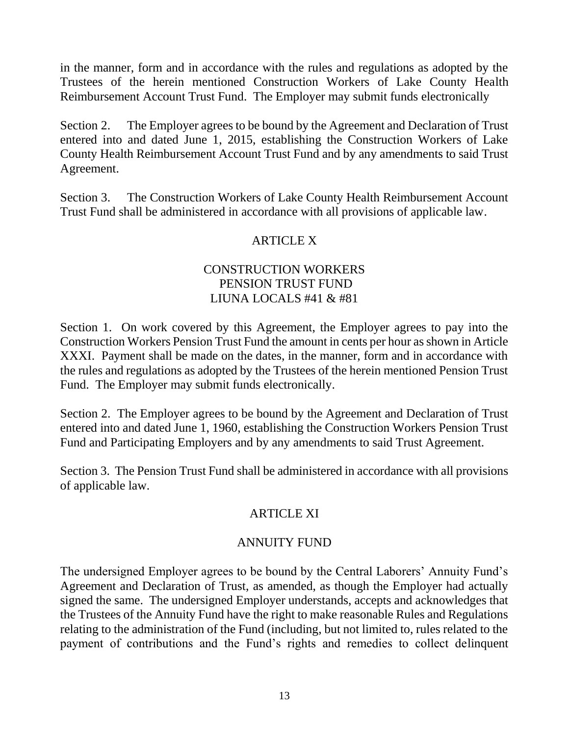in the manner, form and in accordance with the rules and regulations as adopted by the Trustees of the herein mentioned Construction Workers of Lake County Health Reimbursement Account Trust Fund. The Employer may submit funds electronically

Section 2. The Employer agrees to be bound by the Agreement and Declaration of Trust entered into and dated June 1, 2015, establishing the Construction Workers of Lake County Health Reimbursement Account Trust Fund and by any amendments to said Trust Agreement.

Section 3. The Construction Workers of Lake County Health Reimbursement Account Trust Fund shall be administered in accordance with all provisions of applicable law.

# ARTICLE X

## CONSTRUCTION WORKERS PENSION TRUST FUND LIUNA LOCALS #41 & #81

Section 1. On work covered by this Agreement, the Employer agrees to pay into the Construction Workers Pension Trust Fund the amount in cents per hour as shown in Article XXXI. Payment shall be made on the dates, in the manner, form and in accordance with the rules and regulations as adopted by the Trustees of the herein mentioned Pension Trust Fund. The Employer may submit funds electronically.

Section 2. The Employer agrees to be bound by the Agreement and Declaration of Trust entered into and dated June 1, 1960, establishing the Construction Workers Pension Trust Fund and Participating Employers and by any amendments to said Trust Agreement.

Section 3. The Pension Trust Fund shall be administered in accordance with all provisions of applicable law.

# ARTICLE XI

# ANNUITY FUND

The undersigned Employer agrees to be bound by the Central Laborers' Annuity Fund's Agreement and Declaration of Trust, as amended, as though the Employer had actually signed the same. The undersigned Employer understands, accepts and acknowledges that the Trustees of the Annuity Fund have the right to make reasonable Rules and Regulations relating to the administration of the Fund (including, but not limited to, rules related to the payment of contributions and the Fund's rights and remedies to collect delinquent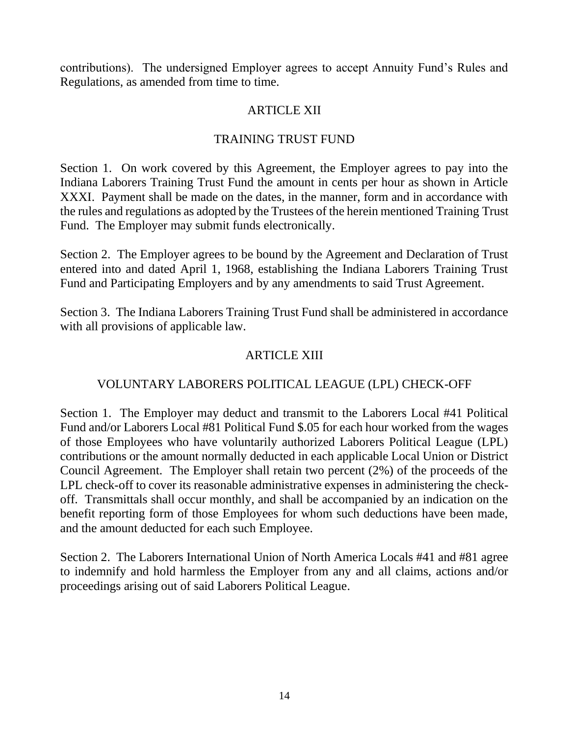contributions). The undersigned Employer agrees to accept Annuity Fund's Rules and Regulations, as amended from time to time.

# ARTICLE XII

# TRAINING TRUST FUND

Section 1. On work covered by this Agreement, the Employer agrees to pay into the Indiana Laborers Training Trust Fund the amount in cents per hour as shown in Article XXXI. Payment shall be made on the dates, in the manner, form and in accordance with the rules and regulations as adopted by the Trustees of the herein mentioned Training Trust Fund. The Employer may submit funds electronically.

Section 2. The Employer agrees to be bound by the Agreement and Declaration of Trust entered into and dated April 1, 1968, establishing the Indiana Laborers Training Trust Fund and Participating Employers and by any amendments to said Trust Agreement.

Section 3. The Indiana Laborers Training Trust Fund shall be administered in accordance with all provisions of applicable law.

# ARTICLE XIII

# VOLUNTARY LABORERS POLITICAL LEAGUE (LPL) CHECK-OFF

Section 1. The Employer may deduct and transmit to the Laborers Local #41 Political Fund and/or Laborers Local #81 Political Fund \$.05 for each hour worked from the wages of those Employees who have voluntarily authorized Laborers Political League (LPL) contributions or the amount normally deducted in each applicable Local Union or District Council Agreement. The Employer shall retain two percent (2%) of the proceeds of the LPL check-off to cover its reasonable administrative expenses in administering the checkoff. Transmittals shall occur monthly, and shall be accompanied by an indication on the benefit reporting form of those Employees for whom such deductions have been made, and the amount deducted for each such Employee.

Section 2. The Laborers International Union of North America Locals #41 and #81 agree to indemnify and hold harmless the Employer from any and all claims, actions and/or proceedings arising out of said Laborers Political League.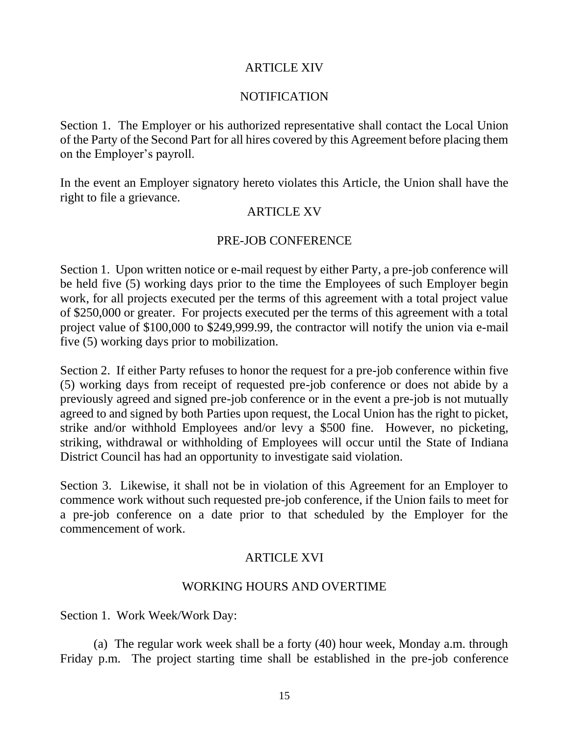## ARTICLE XIV

#### NOTIFICATION

Section 1. The Employer or his authorized representative shall contact the Local Union of the Party of the Second Part for all hires covered by this Agreement before placing them on the Employer's payroll.

In the event an Employer signatory hereto violates this Article, the Union shall have the right to file a grievance.

#### ARTICLE XV

## PRE-JOB CONFERENCE

Section 1. Upon written notice or e-mail request by either Party, a pre-job conference will be held five (5) working days prior to the time the Employees of such Employer begin work, for all projects executed per the terms of this agreement with a total project value of \$250,000 or greater. For projects executed per the terms of this agreement with a total project value of \$100,000 to \$249,999.99, the contractor will notify the union via e-mail five (5) working days prior to mobilization.

Section 2. If either Party refuses to honor the request for a pre-job conference within five (5) working days from receipt of requested pre-job conference or does not abide by a previously agreed and signed pre-job conference or in the event a pre-job is not mutually agreed to and signed by both Parties upon request, the Local Union has the right to picket, strike and/or withhold Employees and/or levy a \$500 fine. However, no picketing, striking, withdrawal or withholding of Employees will occur until the State of Indiana District Council has had an opportunity to investigate said violation.

Section 3. Likewise, it shall not be in violation of this Agreement for an Employer to commence work without such requested pre-job conference, if the Union fails to meet for a pre-job conference on a date prior to that scheduled by the Employer for the commencement of work.

## ARTICLE XVI

#### WORKING HOURS AND OVERTIME

Section 1. Work Week/Work Day:

(a) The regular work week shall be a forty (40) hour week, Monday a.m. through Friday p.m. The project starting time shall be established in the pre-job conference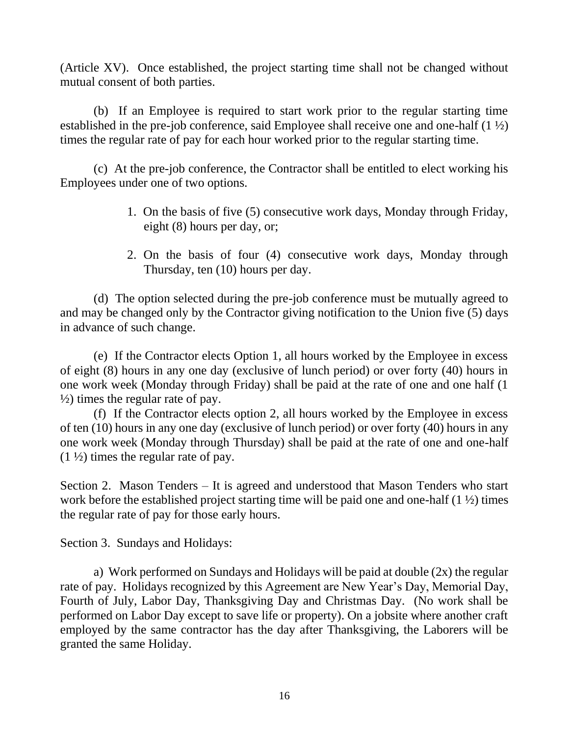(Article XV). Once established, the project starting time shall not be changed without mutual consent of both parties.

(b) If an Employee is required to start work prior to the regular starting time established in the pre-job conference, said Employee shall receive one and one-half (1 ½) times the regular rate of pay for each hour worked prior to the regular starting time.

(c) At the pre-job conference, the Contractor shall be entitled to elect working his Employees under one of two options.

- 1. On the basis of five (5) consecutive work days, Monday through Friday, eight (8) hours per day, or;
- 2. On the basis of four (4) consecutive work days, Monday through Thursday, ten (10) hours per day.

(d) The option selected during the pre-job conference must be mutually agreed to and may be changed only by the Contractor giving notification to the Union five (5) days in advance of such change.

(e) If the Contractor elects Option 1, all hours worked by the Employee in excess of eight (8) hours in any one day (exclusive of lunch period) or over forty (40) hours in one work week (Monday through Friday) shall be paid at the rate of one and one half (1 ½) times the regular rate of pay.

(f) If the Contractor elects option 2, all hours worked by the Employee in excess of ten (10) hours in any one day (exclusive of lunch period) or over forty (40) hours in any one work week (Monday through Thursday) shall be paid at the rate of one and one-half  $(1 \frac{1}{2})$  times the regular rate of pay.

Section 2. Mason Tenders – It is agreed and understood that Mason Tenders who start work before the established project starting time will be paid one and one-half (1 ½) times the regular rate of pay for those early hours.

Section 3. Sundays and Holidays:

a) Work performed on Sundays and Holidays will be paid at double (2x) the regular rate of pay. Holidays recognized by this Agreement are New Year's Day, Memorial Day, Fourth of July, Labor Day, Thanksgiving Day and Christmas Day. (No work shall be performed on Labor Day except to save life or property). On a jobsite where another craft employed by the same contractor has the day after Thanksgiving, the Laborers will be granted the same Holiday.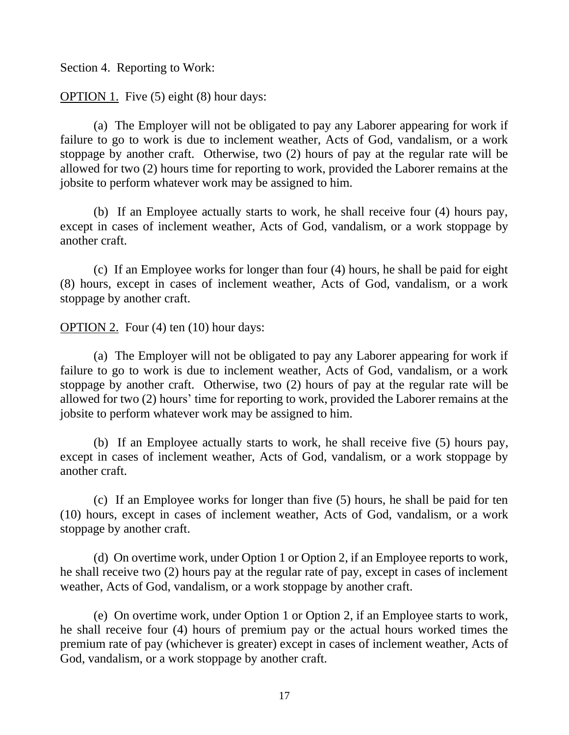Section 4. Reporting to Work:

OPTION 1. Five (5) eight (8) hour days:

(a) The Employer will not be obligated to pay any Laborer appearing for work if failure to go to work is due to inclement weather, Acts of God, vandalism, or a work stoppage by another craft. Otherwise, two (2) hours of pay at the regular rate will be allowed for two (2) hours time for reporting to work, provided the Laborer remains at the jobsite to perform whatever work may be assigned to him.

(b) If an Employee actually starts to work, he shall receive four (4) hours pay, except in cases of inclement weather, Acts of God, vandalism, or a work stoppage by another craft.

(c) If an Employee works for longer than four (4) hours, he shall be paid for eight (8) hours, except in cases of inclement weather, Acts of God, vandalism, or a work stoppage by another craft.

OPTION 2. Four (4) ten (10) hour days:

(a) The Employer will not be obligated to pay any Laborer appearing for work if failure to go to work is due to inclement weather, Acts of God, vandalism, or a work stoppage by another craft. Otherwise, two (2) hours of pay at the regular rate will be allowed for two (2) hours' time for reporting to work, provided the Laborer remains at the jobsite to perform whatever work may be assigned to him.

(b) If an Employee actually starts to work, he shall receive five (5) hours pay, except in cases of inclement weather, Acts of God, vandalism, or a work stoppage by another craft.

(c) If an Employee works for longer than five (5) hours, he shall be paid for ten (10) hours, except in cases of inclement weather, Acts of God, vandalism, or a work stoppage by another craft.

(d) On overtime work, under Option 1 or Option 2, if an Employee reports to work, he shall receive two (2) hours pay at the regular rate of pay, except in cases of inclement weather, Acts of God, vandalism, or a work stoppage by another craft.

(e) On overtime work, under Option 1 or Option 2, if an Employee starts to work, he shall receive four (4) hours of premium pay or the actual hours worked times the premium rate of pay (whichever is greater) except in cases of inclement weather, Acts of God, vandalism, or a work stoppage by another craft.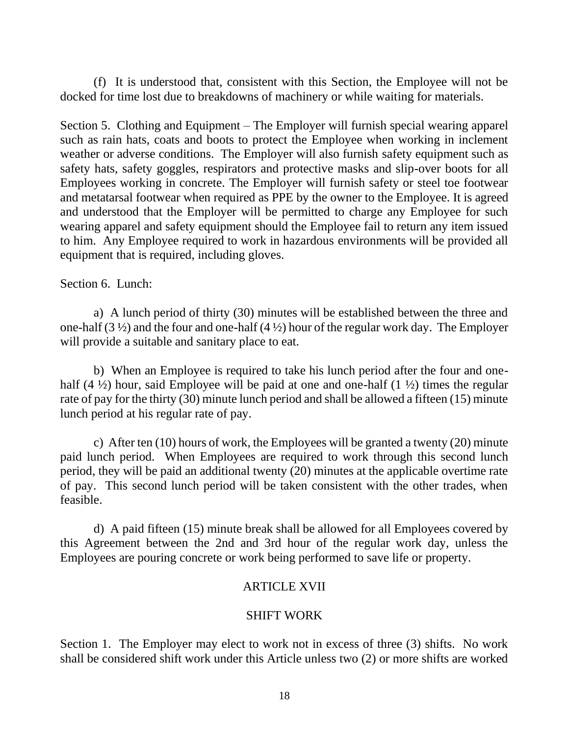(f) It is understood that, consistent with this Section, the Employee will not be docked for time lost due to breakdowns of machinery or while waiting for materials.

Section 5. Clothing and Equipment – The Employer will furnish special wearing apparel such as rain hats, coats and boots to protect the Employee when working in inclement weather or adverse conditions. The Employer will also furnish safety equipment such as safety hats, safety goggles, respirators and protective masks and slip-over boots for all Employees working in concrete. The Employer will furnish safety or steel toe footwear and metatarsal footwear when required as PPE by the owner to the Employee. It is agreed and understood that the Employer will be permitted to charge any Employee for such wearing apparel and safety equipment should the Employee fail to return any item issued to him. Any Employee required to work in hazardous environments will be provided all equipment that is required, including gloves.

## Section 6. Lunch:

a) A lunch period of thirty (30) minutes will be established between the three and one-half  $(3 \frac{1}{2})$  and the four and one-half  $(4 \frac{1}{2})$  hour of the regular work day. The Employer will provide a suitable and sanitary place to eat.

b) When an Employee is required to take his lunch period after the four and onehalf (4  $\frac{1}{2}$ ) hour, said Employee will be paid at one and one-half (1  $\frac{1}{2}$ ) times the regular rate of pay for the thirty (30) minute lunch period and shall be allowed a fifteen (15) minute lunch period at his regular rate of pay.

c) After ten (10) hours of work, the Employees will be granted a twenty (20) minute paid lunch period. When Employees are required to work through this second lunch period, they will be paid an additional twenty (20) minutes at the applicable overtime rate of pay. This second lunch period will be taken consistent with the other trades, when feasible.

d) A paid fifteen (15) minute break shall be allowed for all Employees covered by this Agreement between the 2nd and 3rd hour of the regular work day, unless the Employees are pouring concrete or work being performed to save life or property.

# ARTICLE XVII

## SHIFT WORK

Section 1. The Employer may elect to work not in excess of three (3) shifts. No work shall be considered shift work under this Article unless two (2) or more shifts are worked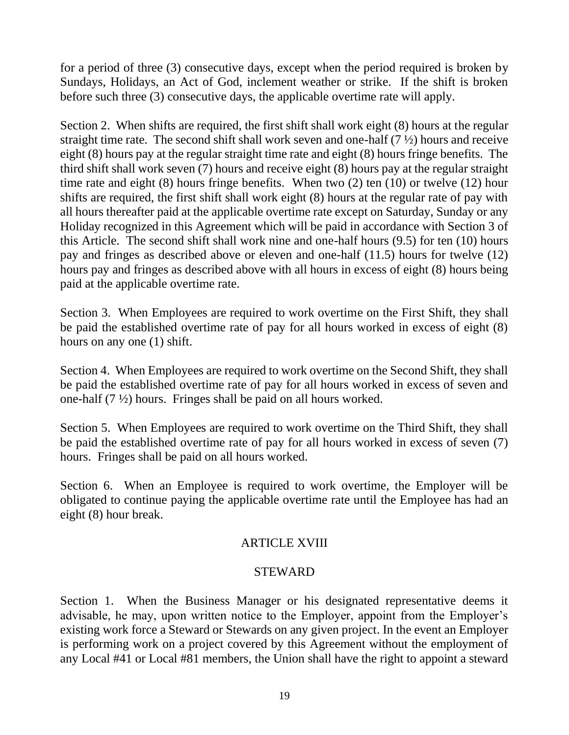for a period of three (3) consecutive days, except when the period required is broken by Sundays, Holidays, an Act of God, inclement weather or strike. If the shift is broken before such three (3) consecutive days, the applicable overtime rate will apply.

Section 2. When shifts are required, the first shift shall work eight (8) hours at the regular straight time rate. The second shift shall work seven and one-half  $(7 \frac{1}{2})$  hours and receive eight (8) hours pay at the regular straight time rate and eight (8) hours fringe benefits. The third shift shall work seven (7) hours and receive eight (8) hours pay at the regular straight time rate and eight (8) hours fringe benefits. When two (2) ten (10) or twelve (12) hour shifts are required, the first shift shall work eight (8) hours at the regular rate of pay with all hours thereafter paid at the applicable overtime rate except on Saturday, Sunday or any Holiday recognized in this Agreement which will be paid in accordance with Section 3 of this Article. The second shift shall work nine and one-half hours (9.5) for ten (10) hours pay and fringes as described above or eleven and one-half (11.5) hours for twelve (12) hours pay and fringes as described above with all hours in excess of eight (8) hours being paid at the applicable overtime rate.

Section 3. When Employees are required to work overtime on the First Shift, they shall be paid the established overtime rate of pay for all hours worked in excess of eight (8) hours on any one (1) shift.

Section 4. When Employees are required to work overtime on the Second Shift, they shall be paid the established overtime rate of pay for all hours worked in excess of seven and one-half (7 ½) hours. Fringes shall be paid on all hours worked.

Section 5. When Employees are required to work overtime on the Third Shift, they shall be paid the established overtime rate of pay for all hours worked in excess of seven (7) hours. Fringes shall be paid on all hours worked.

Section 6. When an Employee is required to work overtime, the Employer will be obligated to continue paying the applicable overtime rate until the Employee has had an eight (8) hour break.

# ARTICLE XVIII

# STEWARD

Section 1. When the Business Manager or his designated representative deems it advisable, he may, upon written notice to the Employer, appoint from the Employer's existing work force a Steward or Stewards on any given project. In the event an Employer is performing work on a project covered by this Agreement without the employment of any Local #41 or Local #81 members, the Union shall have the right to appoint a steward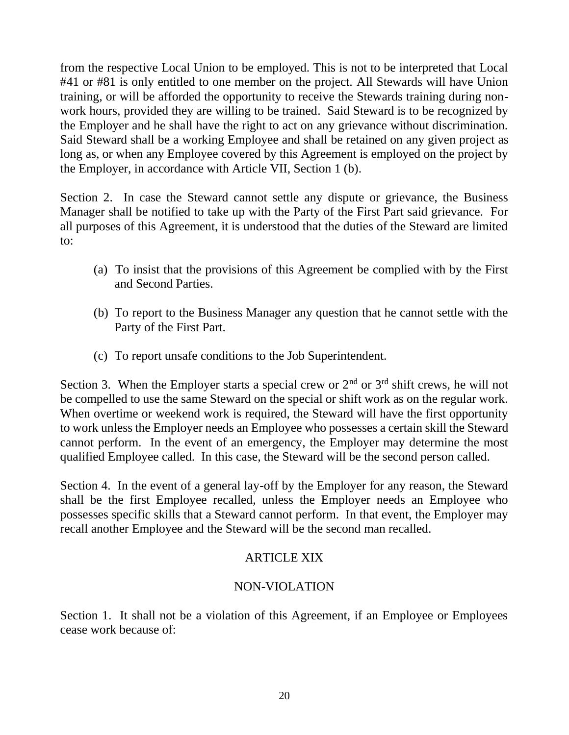from the respective Local Union to be employed. This is not to be interpreted that Local #41 or #81 is only entitled to one member on the project. All Stewards will have Union training, or will be afforded the opportunity to receive the Stewards training during nonwork hours, provided they are willing to be trained. Said Steward is to be recognized by the Employer and he shall have the right to act on any grievance without discrimination. Said Steward shall be a working Employee and shall be retained on any given project as long as, or when any Employee covered by this Agreement is employed on the project by the Employer, in accordance with Article VII, Section 1 (b).

Section 2. In case the Steward cannot settle any dispute or grievance, the Business Manager shall be notified to take up with the Party of the First Part said grievance. For all purposes of this Agreement, it is understood that the duties of the Steward are limited to:

- (a) To insist that the provisions of this Agreement be complied with by the First and Second Parties.
- (b) To report to the Business Manager any question that he cannot settle with the Party of the First Part.
- (c) To report unsafe conditions to the Job Superintendent.

Section 3. When the Employer starts a special crew or  $2<sup>nd</sup>$  or  $3<sup>rd</sup>$  shift crews, he will not be compelled to use the same Steward on the special or shift work as on the regular work. When overtime or weekend work is required, the Steward will have the first opportunity to work unless the Employer needs an Employee who possesses a certain skill the Steward cannot perform. In the event of an emergency, the Employer may determine the most qualified Employee called. In this case, the Steward will be the second person called.

Section 4. In the event of a general lay-off by the Employer for any reason, the Steward shall be the first Employee recalled, unless the Employer needs an Employee who possesses specific skills that a Steward cannot perform. In that event, the Employer may recall another Employee and the Steward will be the second man recalled.

# ARTICLE XIX

## NON-VIOLATION

Section 1. It shall not be a violation of this Agreement, if an Employee or Employees cease work because of: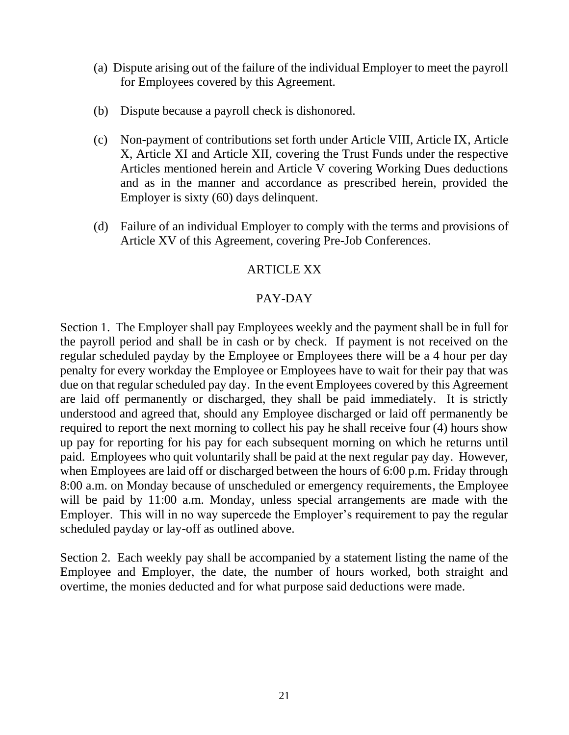- (a) Dispute arising out of the failure of the individual Employer to meet the payroll for Employees covered by this Agreement.
- (b) Dispute because a payroll check is dishonored.
- (c) Non-payment of contributions set forth under Article VIII, Article IX, Article X, Article XI and Article XII, covering the Trust Funds under the respective Articles mentioned herein and Article V covering Working Dues deductions and as in the manner and accordance as prescribed herein, provided the Employer is sixty (60) days delinquent.
- (d) Failure of an individual Employer to comply with the terms and provisions of Article XV of this Agreement, covering Pre-Job Conferences.

## ARTICLE XX

## PAY-DAY

Section 1. The Employer shall pay Employees weekly and the payment shall be in full for the payroll period and shall be in cash or by check. If payment is not received on the regular scheduled payday by the Employee or Employees there will be a 4 hour per day penalty for every workday the Employee or Employees have to wait for their pay that was due on that regular scheduled pay day. In the event Employees covered by this Agreement are laid off permanently or discharged, they shall be paid immediately. It is strictly understood and agreed that, should any Employee discharged or laid off permanently be required to report the next morning to collect his pay he shall receive four (4) hours show up pay for reporting for his pay for each subsequent morning on which he returns until paid. Employees who quit voluntarily shall be paid at the next regular pay day. However, when Employees are laid off or discharged between the hours of 6:00 p.m. Friday through 8:00 a.m. on Monday because of unscheduled or emergency requirements, the Employee will be paid by 11:00 a.m. Monday, unless special arrangements are made with the Employer. This will in no way supercede the Employer's requirement to pay the regular scheduled payday or lay-off as outlined above.

Section 2. Each weekly pay shall be accompanied by a statement listing the name of the Employee and Employer, the date, the number of hours worked, both straight and overtime, the monies deducted and for what purpose said deductions were made.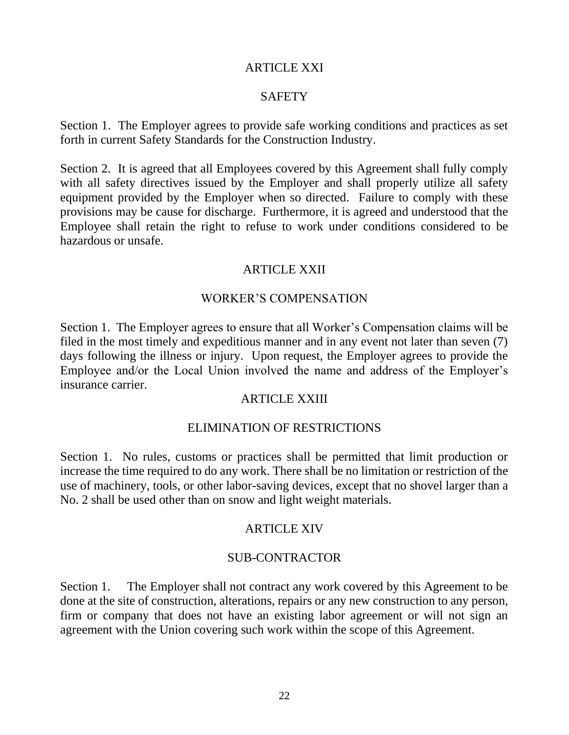### ARTICLE XXI

## **SAFETY**

Section 1. The Employer agrees to provide safe working conditions and practices as set forth in current Safety Standards for the Construction Industry.

Section 2. It is agreed that all Employees covered by this Agreement shall fully comply with all safety directives issued by the Employer and shall properly utilize all safety equipment provided by the Employer when so directed. Failure to comply with these provisions may be cause for discharge. Furthermore, it is agreed and understood that the Employee shall retain the right to refuse to work under conditions considered to be hazardous or unsafe.

## ARTICLE XXII

### WORKER'S COMPENSATION

Section 1. The Employer agrees to ensure that all Worker's Compensation claims will be filed in the most timely and expeditious manner and in any event not later than seven (7) days following the illness or injury. Upon request, the Employer agrees to provide the Employee and/or the Local Union involved the name and address of the Employer's insurance carrier.

### ARTICLE XXIII

#### ELIMINATION OF RESTRICTIONS

Section 1. No rules, customs or practices shall be permitted that limit production or increase the time required to do any work. There shall be no limitation or restriction of the use of machinery, tools, or other labor-saving devices, except that no shovel larger than a No. 2 shall be used other than on snow and light weight materials.

#### ARTICLE XIV

#### SUB-CONTRACTOR

Section 1. The Employer shall not contract any work covered by this Agreement to be done at the site of construction, alterations, repairs or any new construction to any person, firm or company that does not have an existing labor agreement or will not sign an agreement with the Union covering such work within the scope of this Agreement.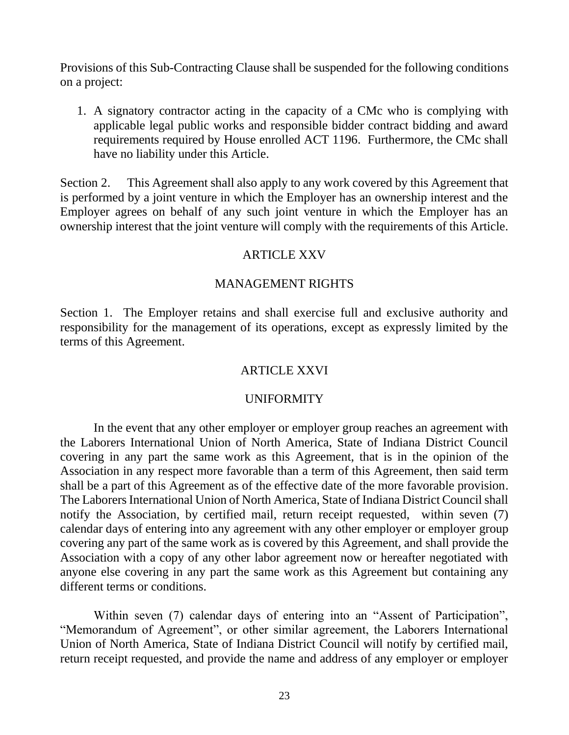Provisions of this Sub-Contracting Clause shall be suspended for the following conditions on a project:

1. A signatory contractor acting in the capacity of a CMc who is complying with applicable legal public works and responsible bidder contract bidding and award requirements required by House enrolled ACT 1196. Furthermore, the CMc shall have no liability under this Article.

Section 2. This Agreement shall also apply to any work covered by this Agreement that is performed by a joint venture in which the Employer has an ownership interest and the Employer agrees on behalf of any such joint venture in which the Employer has an ownership interest that the joint venture will comply with the requirements of this Article.

## ARTICLE XXV

## MANAGEMENT RIGHTS

Section 1. The Employer retains and shall exercise full and exclusive authority and responsibility for the management of its operations, except as expressly limited by the terms of this Agreement.

## ARTICLE XXVI

#### UNIFORMITY

In the event that any other employer or employer group reaches an agreement with the Laborers International Union of North America, State of Indiana District Council covering in any part the same work as this Agreement, that is in the opinion of the Association in any respect more favorable than a term of this Agreement, then said term shall be a part of this Agreement as of the effective date of the more favorable provision. The Laborers International Union of North America, State of Indiana District Council shall notify the Association, by certified mail, return receipt requested, within seven (7) calendar days of entering into any agreement with any other employer or employer group covering any part of the same work as is covered by this Agreement, and shall provide the Association with a copy of any other labor agreement now or hereafter negotiated with anyone else covering in any part the same work as this Agreement but containing any different terms or conditions.

Within seven (7) calendar days of entering into an "Assent of Participation", "Memorandum of Agreement", or other similar agreement, the Laborers International Union of North America, State of Indiana District Council will notify by certified mail, return receipt requested, and provide the name and address of any employer or employer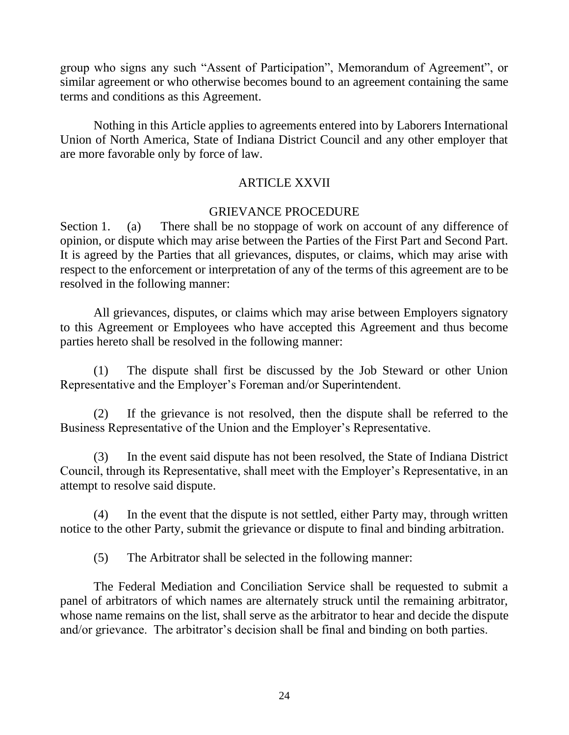group who signs any such "Assent of Participation", Memorandum of Agreement", or similar agreement or who otherwise becomes bound to an agreement containing the same terms and conditions as this Agreement.

Nothing in this Article applies to agreements entered into by Laborers International Union of North America, State of Indiana District Council and any other employer that are more favorable only by force of law.

## ARTICLE XXVII

## GRIEVANCE PROCEDURE

Section 1. (a) There shall be no stoppage of work on account of any difference of opinion, or dispute which may arise between the Parties of the First Part and Second Part. It is agreed by the Parties that all grievances, disputes, or claims, which may arise with respect to the enforcement or interpretation of any of the terms of this agreement are to be resolved in the following manner:

All grievances, disputes, or claims which may arise between Employers signatory to this Agreement or Employees who have accepted this Agreement and thus become parties hereto shall be resolved in the following manner:

(1) The dispute shall first be discussed by the Job Steward or other Union Representative and the Employer's Foreman and/or Superintendent.

(2) If the grievance is not resolved, then the dispute shall be referred to the Business Representative of the Union and the Employer's Representative.

(3) In the event said dispute has not been resolved, the State of Indiana District Council, through its Representative, shall meet with the Employer's Representative, in an attempt to resolve said dispute.

(4) In the event that the dispute is not settled, either Party may, through written notice to the other Party, submit the grievance or dispute to final and binding arbitration.

(5) The Arbitrator shall be selected in the following manner:

The Federal Mediation and Conciliation Service shall be requested to submit a panel of arbitrators of which names are alternately struck until the remaining arbitrator, whose name remains on the list, shall serve as the arbitrator to hear and decide the dispute and/or grievance. The arbitrator's decision shall be final and binding on both parties.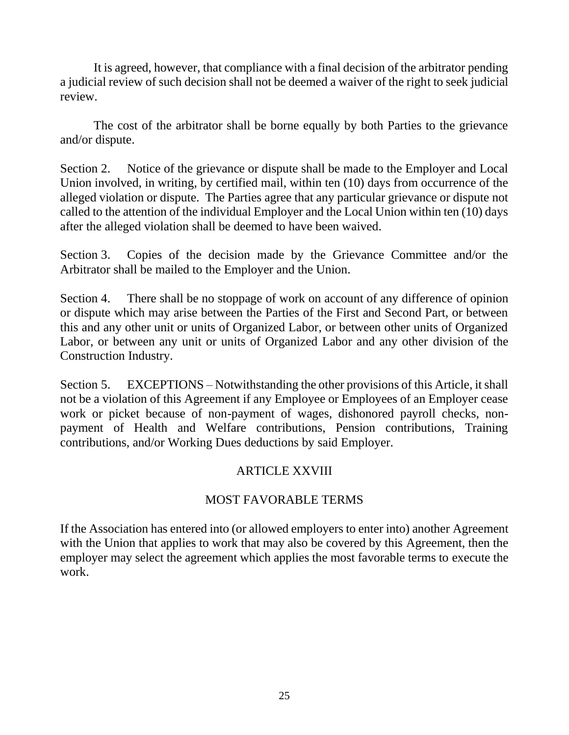It is agreed, however, that compliance with a final decision of the arbitrator pending a judicial review of such decision shall not be deemed a waiver of the right to seek judicial review.

The cost of the arbitrator shall be borne equally by both Parties to the grievance and/or dispute.

Section 2. Notice of the grievance or dispute shall be made to the Employer and Local Union involved, in writing, by certified mail, within ten (10) days from occurrence of the alleged violation or dispute. The Parties agree that any particular grievance or dispute not called to the attention of the individual Employer and the Local Union within ten (10) days after the alleged violation shall be deemed to have been waived.

Section 3. Copies of the decision made by the Grievance Committee and/or the Arbitrator shall be mailed to the Employer and the Union.

Section 4. There shall be no stoppage of work on account of any difference of opinion or dispute which may arise between the Parties of the First and Second Part, or between this and any other unit or units of Organized Labor, or between other units of Organized Labor, or between any unit or units of Organized Labor and any other division of the Construction Industry.

Section 5. EXCEPTIONS – Notwithstanding the other provisions of this Article, it shall not be a violation of this Agreement if any Employee or Employees of an Employer cease work or picket because of non-payment of wages, dishonored payroll checks, nonpayment of Health and Welfare contributions, Pension contributions, Training contributions, and/or Working Dues deductions by said Employer.

# ARTICLE XXVIII

# MOST FAVORABLE TERMS

If the Association has entered into (or allowed employers to enter into) another Agreement with the Union that applies to work that may also be covered by this Agreement, then the employer may select the agreement which applies the most favorable terms to execute the work.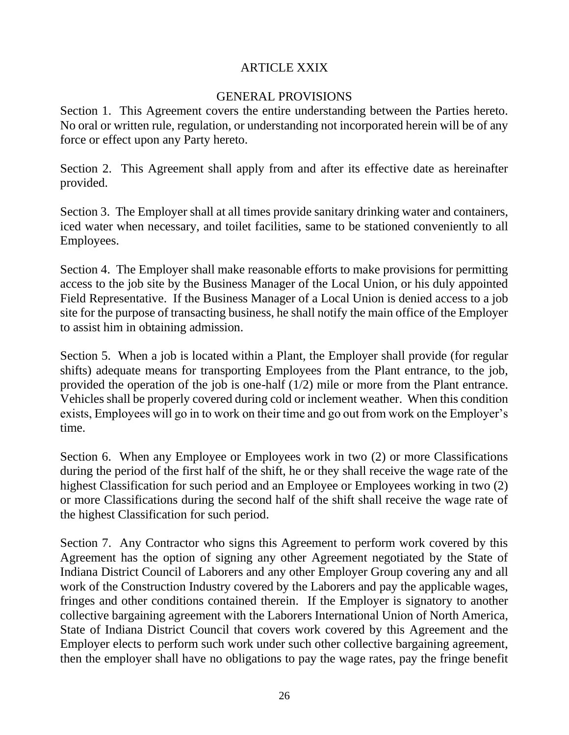# ARTICLE XXIX

## GENERAL PROVISIONS

Section 1. This Agreement covers the entire understanding between the Parties hereto. No oral or written rule, regulation, or understanding not incorporated herein will be of any force or effect upon any Party hereto.

Section 2. This Agreement shall apply from and after its effective date as hereinafter provided.

Section 3. The Employer shall at all times provide sanitary drinking water and containers, iced water when necessary, and toilet facilities, same to be stationed conveniently to all Employees.

Section 4. The Employer shall make reasonable efforts to make provisions for permitting access to the job site by the Business Manager of the Local Union, or his duly appointed Field Representative. If the Business Manager of a Local Union is denied access to a job site for the purpose of transacting business, he shall notify the main office of the Employer to assist him in obtaining admission.

Section 5. When a job is located within a Plant, the Employer shall provide (for regular shifts) adequate means for transporting Employees from the Plant entrance, to the job, provided the operation of the job is one-half (1/2) mile or more from the Plant entrance. Vehicles shall be properly covered during cold or inclement weather. When this condition exists, Employees will go in to work on their time and go out from work on the Employer's time.

Section 6. When any Employee or Employees work in two (2) or more Classifications during the period of the first half of the shift, he or they shall receive the wage rate of the highest Classification for such period and an Employee or Employees working in two (2) or more Classifications during the second half of the shift shall receive the wage rate of the highest Classification for such period.

Section 7. Any Contractor who signs this Agreement to perform work covered by this Agreement has the option of signing any other Agreement negotiated by the State of Indiana District Council of Laborers and any other Employer Group covering any and all work of the Construction Industry covered by the Laborers and pay the applicable wages, fringes and other conditions contained therein. If the Employer is signatory to another collective bargaining agreement with the Laborers International Union of North America, State of Indiana District Council that covers work covered by this Agreement and the Employer elects to perform such work under such other collective bargaining agreement, then the employer shall have no obligations to pay the wage rates, pay the fringe benefit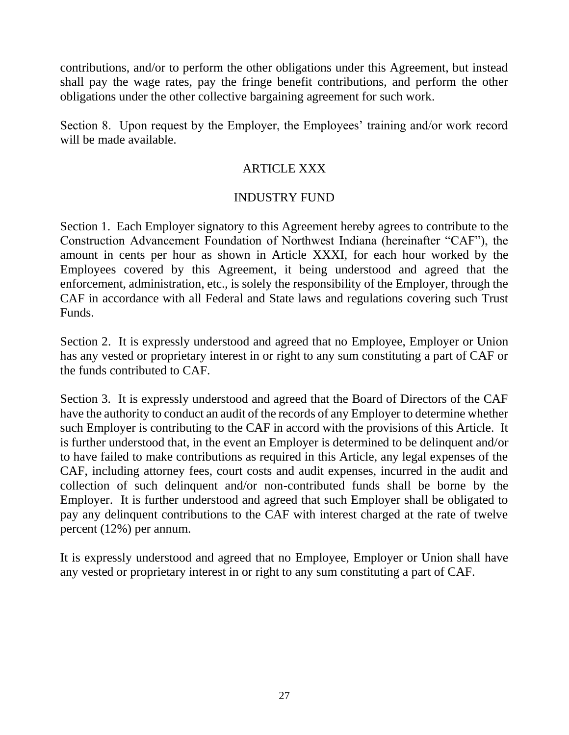contributions, and/or to perform the other obligations under this Agreement, but instead shall pay the wage rates, pay the fringe benefit contributions, and perform the other obligations under the other collective bargaining agreement for such work.

Section 8. Upon request by the Employer, the Employees' training and/or work record will be made available.

# ARTICLE XXX

## INDUSTRY FUND

Section 1. Each Employer signatory to this Agreement hereby agrees to contribute to the Construction Advancement Foundation of Northwest Indiana (hereinafter "CAF"), the amount in cents per hour as shown in Article XXXI, for each hour worked by the Employees covered by this Agreement, it being understood and agreed that the enforcement, administration, etc., is solely the responsibility of the Employer, through the CAF in accordance with all Federal and State laws and regulations covering such Trust Funds.

Section 2. It is expressly understood and agreed that no Employee, Employer or Union has any vested or proprietary interest in or right to any sum constituting a part of CAF or the funds contributed to CAF.

Section 3. It is expressly understood and agreed that the Board of Directors of the CAF have the authority to conduct an audit of the records of any Employer to determine whether such Employer is contributing to the CAF in accord with the provisions of this Article. It is further understood that, in the event an Employer is determined to be delinquent and/or to have failed to make contributions as required in this Article, any legal expenses of the CAF, including attorney fees, court costs and audit expenses, incurred in the audit and collection of such delinquent and/or non-contributed funds shall be borne by the Employer. It is further understood and agreed that such Employer shall be obligated to pay any delinquent contributions to the CAF with interest charged at the rate of twelve percent (12%) per annum.

It is expressly understood and agreed that no Employee, Employer or Union shall have any vested or proprietary interest in or right to any sum constituting a part of CAF.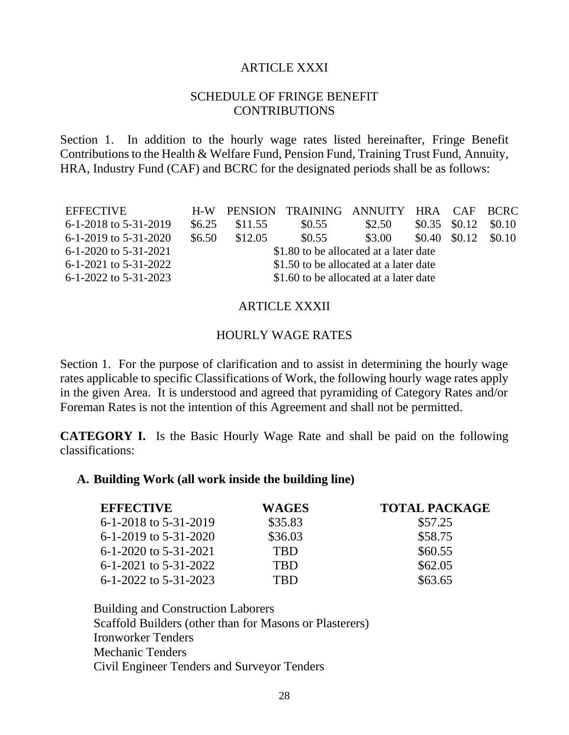#### ARTICLE XXXI

### SCHEDULE OF FRINGE BENEFIT **CONTRIBUTIONS**

Section 1. In addition to the hourly wage rates listed hereinafter, Fringe Benefit Contributions to the Health & Welfare Fund, Pension Fund, Training Trust Fund, Annuity, HRA, Industry Fund (CAF) and BCRC for the designated periods shall be as follows:

| <b>EFFECTIVE</b>          |                                        |         | H-W PENSION TRAINING ANNUITY HRA CAF BCRC |        |                                   |                                |        |
|---------------------------|----------------------------------------|---------|-------------------------------------------|--------|-----------------------------------|--------------------------------|--------|
| $6-1-2018$ to 5-31-2019   | \$6.25                                 | \$11.55 | \$0.55                                    | \$2.50 | $\text{\$0.35}\quad\text{\$0.12}$ |                                | \$0.10 |
| $6-1-2019$ to $5-31-2020$ | \$6.50                                 | \$12.05 | \$0.55                                    | \$3.00 |                                   | $\text{\$0.40}\ \text{\$0.12}$ | \$0.10 |
| $6-1-2020$ to $5-31-2021$ | \$1.80 to be allocated at a later date |         |                                           |        |                                   |                                |        |
| $6-1-2021$ to $5-31-2022$ | \$1.50 to be allocated at a later date |         |                                           |        |                                   |                                |        |
| $6-1-2022$ to $5-31-2023$ | \$1.60 to be allocated at a later date |         |                                           |        |                                   |                                |        |

#### ARTICLE XXXII

#### HOURLY WAGE RATES

Section 1. For the purpose of clarification and to assist in determining the hourly wage rates applicable to specific Classifications of Work, the following hourly wage rates apply in the given Area. It is understood and agreed that pyramiding of Category Rates and/or Foreman Rates is not the intention of this Agreement and shall not be permitted.

**CATEGORY I.** Is the Basic Hourly Wage Rate and shall be paid on the following classifications:

#### **A. Building Work (all work inside the building line)**

| <b>EFFECTIVE</b>          | WAGES      | <b>TOTAL PACKAGE</b> |
|---------------------------|------------|----------------------|
| 6-1-2018 to 5-31-2019     | \$35.83    | \$57.25              |
| 6-1-2019 to 5-31-2020     | \$36.03    | \$58.75              |
| $6-1-2020$ to $5-31-2021$ | <b>TBD</b> | \$60.55              |
| $6-1-2021$ to $5-31-2022$ | <b>TBD</b> | \$62.05              |
| $6-1-2022$ to $5-31-2023$ | TRD        | \$63.65              |

Building and Construction Laborers Scaffold Builders (other than for Masons or Plasterers) Ironworker Tenders Mechanic Tenders Civil Engineer Tenders and Surveyor Tenders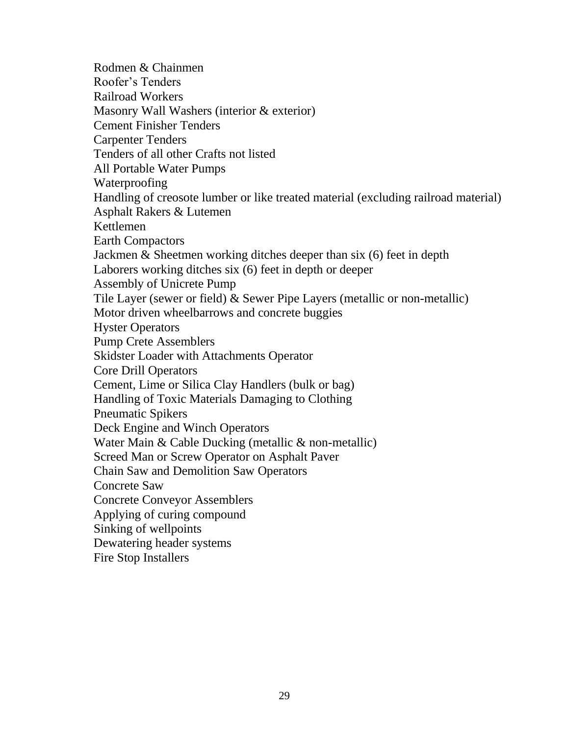Rodmen & Chainmen Roofer's Tenders Railroad Workers Masonry Wall Washers (interior & exterior) Cement Finisher Tenders Carpenter Tenders Tenders of all other Crafts not listed All Portable Water Pumps Waterproofing Handling of creosote lumber or like treated material (excluding railroad material) Asphalt Rakers & Lutemen Kettlemen Earth Compactors Jackmen & Sheetmen working ditches deeper than six (6) feet in depth Laborers working ditches six (6) feet in depth or deeper Assembly of Unicrete Pump Tile Layer (sewer or field) & Sewer Pipe Layers (metallic or non-metallic) Motor driven wheelbarrows and concrete buggies Hyster Operators Pump Crete Assemblers Skidster Loader with Attachments Operator Core Drill Operators Cement, Lime or Silica Clay Handlers (bulk or bag) Handling of Toxic Materials Damaging to Clothing Pneumatic Spikers Deck Engine and Winch Operators Water Main & Cable Ducking (metallic & non-metallic) Screed Man or Screw Operator on Asphalt Paver Chain Saw and Demolition Saw Operators Concrete Saw Concrete Conveyor Assemblers Applying of curing compound Sinking of wellpoints Dewatering header systems Fire Stop Installers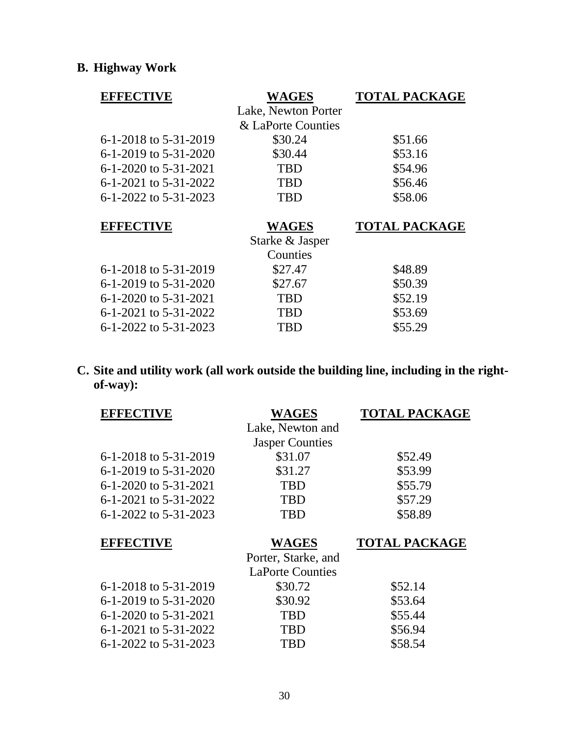# **B. Highway Work**

| <b>EFFECTIVE</b>      | <b>WAGES</b>        | <b>TOTAL PACKAGE</b> |
|-----------------------|---------------------|----------------------|
|                       | Lake, Newton Porter |                      |
|                       | & LaPorte Counties  |                      |
| 6-1-2018 to 5-31-2019 | \$30.24             | \$51.66              |
| 6-1-2019 to 5-31-2020 | \$30.44             | \$53.16              |
| 6-1-2020 to 5-31-2021 | <b>TBD</b>          | \$54.96              |
| 6-1-2021 to 5-31-2022 | <b>TBD</b>          | \$56.46              |
| 6-1-2022 to 5-31-2023 | <b>TBD</b>          | \$58.06              |
|                       |                     |                      |
|                       |                     |                      |
| <b>EFFECTIVE</b>      | <b>WAGES</b>        | <b>TOTAL PACKAGE</b> |
|                       | Starke & Jasper     |                      |
|                       | Counties            |                      |
| 6-1-2018 to 5-31-2019 | \$27.47             | \$48.89              |
| 6-1-2019 to 5-31-2020 | \$27.67             | \$50.39              |
| 6-1-2020 to 5-31-2021 | <b>TBD</b>          | \$52.19              |
| 6-1-2021 to 5-31-2022 | TBD                 | \$53.69              |

**C. Site and utility work (all work outside the building line, including in the rightof-way):**

| <b>EFFECTIVE</b>          | <b>WAGES</b>            | <b>TOTAL PACKAGE</b> |
|---------------------------|-------------------------|----------------------|
|                           | Lake, Newton and        |                      |
|                           | <b>Jasper Counties</b>  |                      |
| 6-1-2018 to 5-31-2019     | \$31.07                 | \$52.49              |
| $6-1-2019$ to $5-31-2020$ | \$31.27                 | \$53.99              |
| $6-1-2020$ to $5-31-2021$ | <b>TBD</b>              | \$55.79              |
| 6-1-2021 to 5-31-2022     | <b>TBD</b>              | \$57.29              |
| 6-1-2022 to 5-31-2023     | <b>TBD</b>              | \$58.89              |
|                           |                         |                      |
|                           |                         |                      |
| <b>EFFECTIVE</b>          | <b>WAGES</b>            | <b>TOTAL PACKAGE</b> |
|                           | Porter, Starke, and     |                      |
|                           | <b>LaPorte Counties</b> |                      |
| 6-1-2018 to 5-31-2019     | \$30.72                 | \$52.14              |
| $6-1-2019$ to $5-31-2020$ | \$30.92                 | \$53.64              |
| $6-1-2020$ to $5-31-2021$ | <b>TBD</b>              | \$55.44              |
| 6-1-2021 to 5-31-2022     | <b>TBD</b>              | \$56.94              |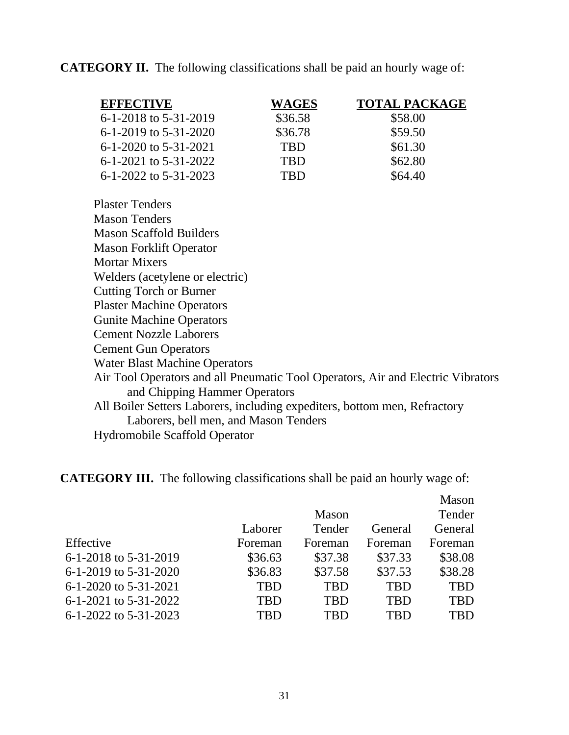**CATEGORY II.** The following classifications shall be paid an hourly wage of:

| <b>EFFECTIVE</b>          | <b>WAGES</b> | <b>TOTAL PACKAGE</b> |
|---------------------------|--------------|----------------------|
| 6-1-2018 to 5-31-2019     | \$36.58      | \$58.00              |
| $6-1-2019$ to $5-31-2020$ | \$36.78      | \$59.50              |
| $6-1-2020$ to $5-31-2021$ | <b>TBD</b>   | \$61.30              |
| 6-1-2021 to 5-31-2022     | <b>TBD</b>   | \$62.80              |
| $6-1-2022$ to $5-31-2023$ | TRD          | \$64.40              |

Plaster Tenders Mason Tenders Mason Scaffold Builders Mason Forklift Operator Mortar Mixers Welders (acetylene or electric) Cutting Torch or Burner Plaster Machine Operators Gunite Machine Operators Cement Nozzle Laborers Cement Gun Operators Water Blast Machine Operators Air Tool Operators and all Pneumatic Tool Operators, Air and Electric Vibrators and Chipping Hammer Operators All Boiler Setters Laborers, including expediters, bottom men, Refractory Laborers, bell men, and Mason Tenders Hydromobile Scaffold Operator

**CATEGORY III.** The following classifications shall be paid an hourly wage of:

|                           |            |              |            | Mason      |
|---------------------------|------------|--------------|------------|------------|
|                           |            | <b>Mason</b> |            | Tender     |
|                           | Laborer    | Tender       | General    | General    |
| Effective                 | Foreman    | Foreman      | Foreman    | Foreman    |
| 6-1-2018 to 5-31-2019     | \$36.63    | \$37.38      | \$37.33    | \$38.08    |
| $6-1-2019$ to $5-31-2020$ | \$36.83    | \$37.58      | \$37.53    | \$38.28    |
| $6-1-2020$ to $5-31-2021$ | <b>TBD</b> | <b>TBD</b>   | <b>TBD</b> | <b>TBD</b> |
| $6-1-2021$ to $5-31-2022$ | <b>TBD</b> | <b>TBD</b>   | <b>TBD</b> | <b>TBD</b> |
| $6-1-2022$ to $5-31-2023$ | TBD        | TRD          | TRD        | TBD        |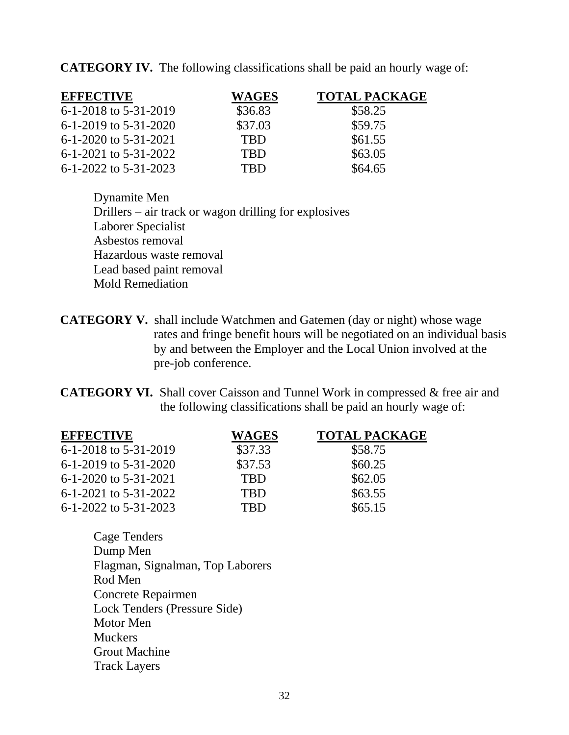**CATEGORY IV.** The following classifications shall be paid an hourly wage of:

| <b>EFFECTIVE</b>          | <b>WAGES</b> | <b>TOTAL PACKAGE</b> |
|---------------------------|--------------|----------------------|
| 6-1-2018 to 5-31-2019     | \$36.83      | \$58.25              |
| $6-1-2019$ to $5-31-2020$ | \$37.03      | \$59.75              |
| 6-1-2020 to 5-31-2021     | <b>TBD</b>   | \$61.55              |
| $6-1-2021$ to $5-31-2022$ | <b>TBD</b>   | \$63.05              |
| 6-1-2022 to 5-31-2023     | TRD          | \$64.65              |

Dynamite Men Drillers – air track or wagon drilling for explosives Laborer Specialist Asbestos removal Hazardous waste removal Lead based paint removal Mold Remediation

**CATEGORY V.** shall include Watchmen and Gatemen (day or night) whose wage rates and fringe benefit hours will be negotiated on an individual basis by and between the Employer and the Local Union involved at the pre-job conference.

**CATEGORY VI.** Shall cover Caisson and Tunnel Work in compressed & free air and the following classifications shall be paid an hourly wage of:

| <b>EFFECTIVE</b>          | <b>WAGES</b> | <b>TOTAL PACKAGE</b> |
|---------------------------|--------------|----------------------|
| 6-1-2018 to 5-31-2019     | \$37.33      | \$58.75              |
| $6-1-2019$ to $5-31-2020$ | \$37.53      | \$60.25              |
| 6-1-2020 to 5-31-2021     | <b>TBD</b>   | \$62.05              |
| 6-1-2021 to 5-31-2022     | <b>TBD</b>   | \$63.55              |
| 6-1-2022 to 5-31-2023     | TRD          | \$65.15              |

Cage Tenders Dump Men Flagman, Signalman, Top Laborers Rod Men Concrete Repairmen Lock Tenders (Pressure Side) Motor Men **Muckers** Grout Machine Track Layers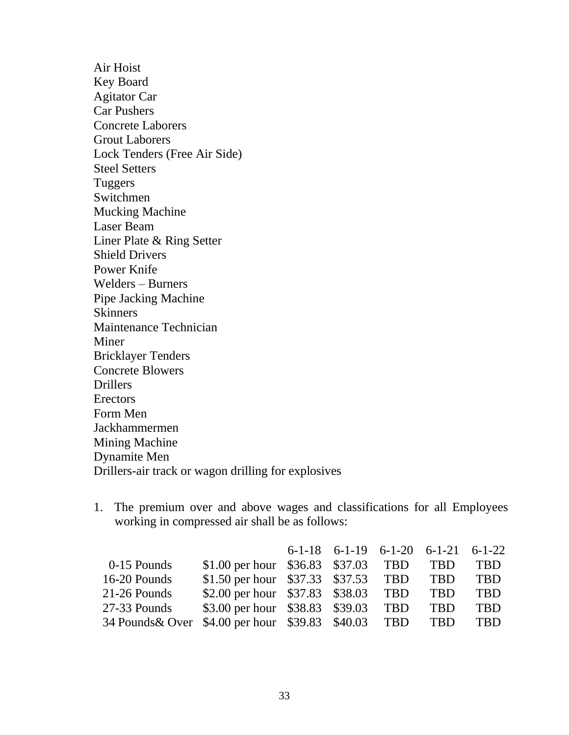Air Hoist Key Board Agitator Car Car Pushers Concrete Laborers Grout Laborers Lock Tenders (Free Air Side) Steel Setters Tuggers Switchmen Mucking Machine Laser Beam Liner Plate & Ring Setter Shield Drivers Power Knife Welders – Burners Pipe Jacking Machine Skinners Maintenance Technician Miner Bricklayer Tenders Concrete Blowers **Drillers Erectors** Form Men Jackhammermen Mining Machine Dynamite Men Drillers-air track or wagon drilling for explosives

1. The premium over and above wages and classifications for all Employees working in compressed air shall be as follows:

|                                                          |                                          | $6-1-18$ $6-1-19$ $6-1-20$ $6-1-21$ $6-1-22$ |            |            |
|----------------------------------------------------------|------------------------------------------|----------------------------------------------|------------|------------|
| 0-15 Pounds                                              | \$1.00 per hour $$36.83$ \$37.03 TBD TBD |                                              |            | <b>TBD</b> |
| 16-20 Pounds                                             | \$1.50 per hour $$37.33$ \$37.53 TBD TBD |                                              |            | <b>TBD</b> |
| 21-26 Pounds                                             | \$2.00 per hour \$37.83 \$38.03 TBD TBD  |                                              |            | <b>TBD</b> |
| 27-33 Pounds                                             | \$3.00 per hour \$38.83 \$39.03 TBD      |                                              | <b>TBD</b> | <b>TBD</b> |
| 34 Pounds & Over \$4.00 per hour \$39.83 \$40.03 TBD TBD |                                          |                                              |            | <b>TBD</b> |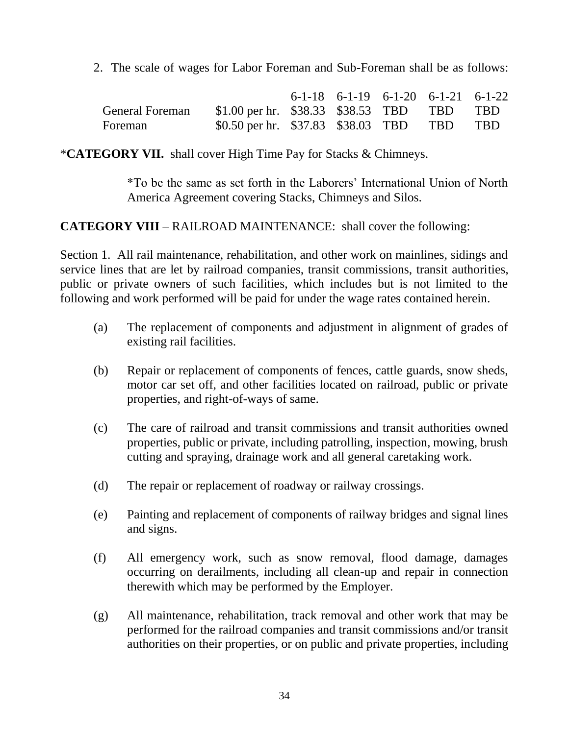2. The scale of wages for Labor Foreman and Sub-Foreman shall be as follows:

|                        |                                             | $6-1-18$ $6-1-19$ $6-1-20$ $6-1-21$ $6-1-22$ |  |  |
|------------------------|---------------------------------------------|----------------------------------------------|--|--|
| <b>General Foreman</b> | \$1.00 per hr. $$38.33$ \$38.53 TBD TBD TBD |                                              |  |  |
| Foreman                | \$0.50 per hr. \$37.83 \$38.03 TBD TBD TBD  |                                              |  |  |

\***CATEGORY VII.** shall cover High Time Pay for Stacks & Chimneys.

\*To be the same as set forth in the Laborers' International Union of North America Agreement covering Stacks, Chimneys and Silos.

## **CATEGORY VIII** – RAILROAD MAINTENANCE: shall cover the following:

Section 1. All rail maintenance, rehabilitation, and other work on mainlines, sidings and service lines that are let by railroad companies, transit commissions, transit authorities, public or private owners of such facilities, which includes but is not limited to the following and work performed will be paid for under the wage rates contained herein.

- (a) The replacement of components and adjustment in alignment of grades of existing rail facilities.
- (b) Repair or replacement of components of fences, cattle guards, snow sheds, motor car set off, and other facilities located on railroad, public or private properties, and right-of-ways of same.
- (c) The care of railroad and transit commissions and transit authorities owned properties, public or private, including patrolling, inspection, mowing, brush cutting and spraying, drainage work and all general caretaking work.
- (d) The repair or replacement of roadway or railway crossings.
- (e) Painting and replacement of components of railway bridges and signal lines and signs.
- (f) All emergency work, such as snow removal, flood damage, damages occurring on derailments, including all clean-up and repair in connection therewith which may be performed by the Employer.
- (g) All maintenance, rehabilitation, track removal and other work that may be performed for the railroad companies and transit commissions and/or transit authorities on their properties, or on public and private properties, including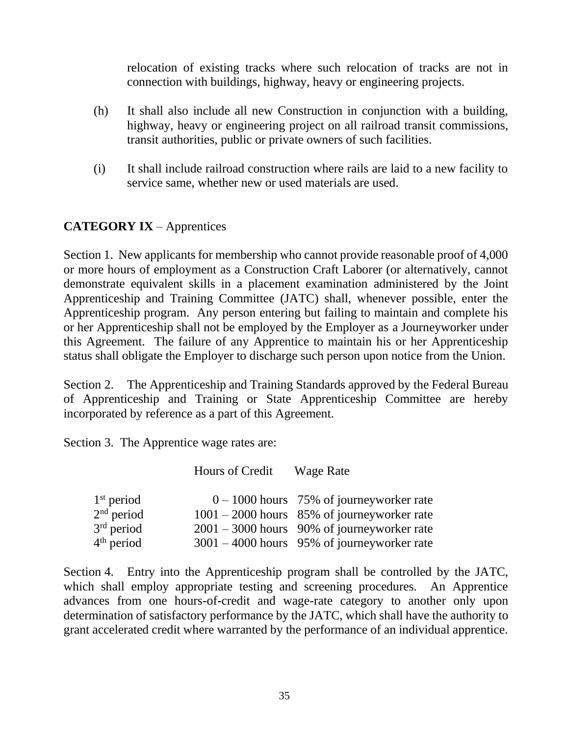relocation of existing tracks where such relocation of tracks are not in connection with buildings, highway, heavy or engineering projects.

- (h) It shall also include all new Construction in conjunction with a building, highway, heavy or engineering project on all railroad transit commissions, transit authorities, public or private owners of such facilities.
- (i) It shall include railroad construction where rails are laid to a new facility to service same, whether new or used materials are used.

# **CATEGORY IX** – Apprentices

Section 1. New applicants for membership who cannot provide reasonable proof of 4,000 or more hours of employment as a Construction Craft Laborer (or alternatively, cannot demonstrate equivalent skills in a placement examination administered by the Joint Apprenticeship and Training Committee (JATC) shall, whenever possible, enter the Apprenticeship program. Any person entering but failing to maintain and complete his or her Apprenticeship shall not be employed by the Employer as a Journeyworker under this Agreement. The failure of any Apprentice to maintain his or her Apprenticeship status shall obligate the Employer to discharge such person upon notice from the Union.

Section 2. The Apprenticeship and Training Standards approved by the Federal Bureau of Apprenticeship and Training or State Apprenticeship Committee are hereby incorporated by reference as a part of this Agreement.

Section 3. The Apprentice wage rates are:

|              | Hours of Credit | <b>Wage Rate</b>                              |
|--------------|-----------------|-----------------------------------------------|
| $1st$ period |                 | $0 - 1000$ hours 75% of journeyworker rate    |
| $2nd$ period |                 | $1001 - 2000$ hours 85% of journeyworker rate |
| $3rd$ period |                 | $2001 - 3000$ hours 90% of journeyworker rate |
| $4th$ period |                 | $3001 - 4000$ hours 95% of journeyworker rate |

Section 4. Entry into the Apprenticeship program shall be controlled by the JATC, which shall employ appropriate testing and screening procedures. An Apprentice advances from one hours-of-credit and wage-rate category to another only upon determination of satisfactory performance by the JATC, which shall have the authority to grant accelerated credit where warranted by the performance of an individual apprentice.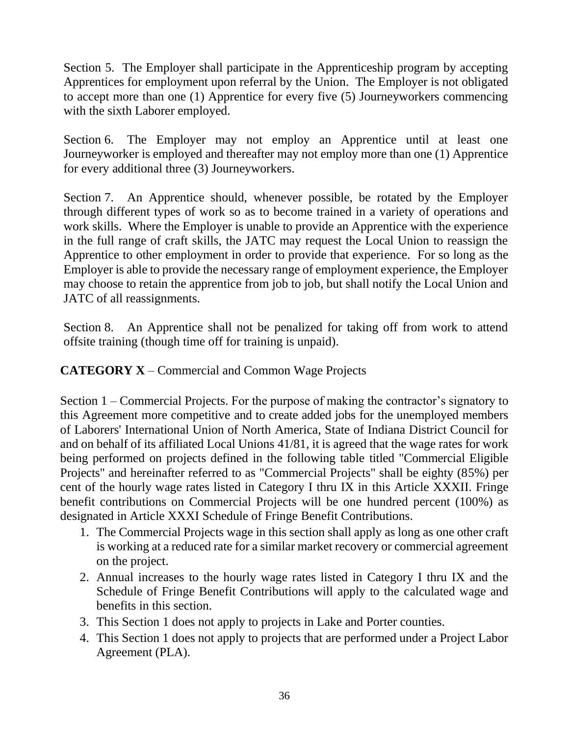Section 5. The Employer shall participate in the Apprenticeship program by accepting Apprentices for employment upon referral by the Union. The Employer is not obligated to accept more than one (1) Apprentice for every five (5) Journeyworkers commencing with the sixth Laborer employed.

Section 6. The Employer may not employ an Apprentice until at least one Journeyworker is employed and thereafter may not employ more than one (1) Apprentice for every additional three (3) Journeyworkers.

Section 7. An Apprentice should, whenever possible, be rotated by the Employer through different types of work so as to become trained in a variety of operations and work skills. Where the Employer is unable to provide an Apprentice with the experience in the full range of craft skills, the JATC may request the Local Union to reassign the Apprentice to other employment in order to provide that experience. For so long as the Employer is able to provide the necessary range of employment experience, the Employer may choose to retain the apprentice from job to job, but shall notify the Local Union and JATC of all reassignments.

Section 8. An Apprentice shall not be penalized for taking off from work to attend offsite training (though time off for training is unpaid).

**CATEGORY X** – Commercial and Common Wage Projects

Section 1 – Commercial Projects. For the purpose of making the contractor's signatory to this Agreement more competitive and to create added jobs for the unemployed members of Laborers' International Union of North America, State of Indiana District Council for and on behalf of its affiliated Local Unions 41/81, it is agreed that the wage rates for work being performed on projects defined in the following table titled "Commercial Eligible Projects" and hereinafter referred to as "Commercial Projects" shall be eighty (85%) per cent of the hourly wage rates listed in Category I thru IX in this Article XXXII. Fringe benefit contributions on Commercial Projects will be one hundred percent (100%) as designated in Article XXXI Schedule of Fringe Benefit Contributions.

- 1. The Commercial Projects wage in this section shall apply as long as one other craft is working at a reduced rate for a similar market recovery or commercial agreement on the project.
- 2. Annual increases to the hourly wage rates listed in Category I thru IX and the Schedule of Fringe Benefit Contributions will apply to the calculated wage and benefits in this section.
- 3. This Section 1 does not apply to projects in Lake and Porter counties.
- 4. This Section 1 does not apply to projects that are performed under a Project Labor Agreement (PLA).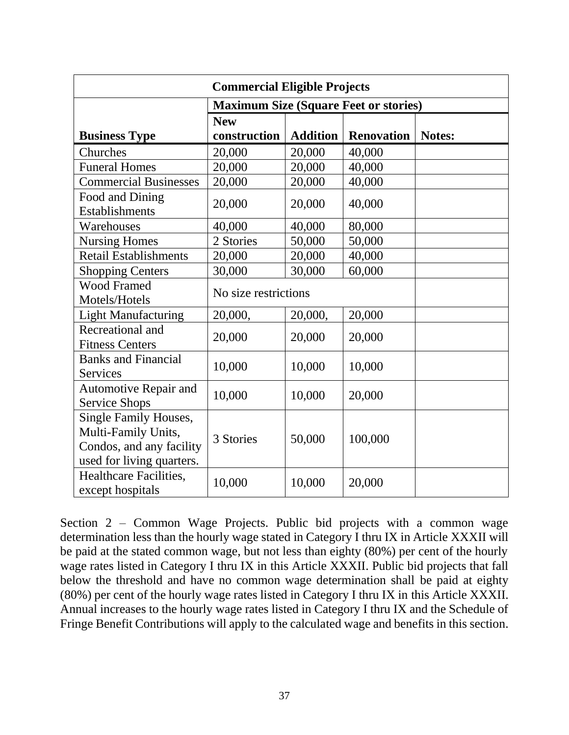| <b>Commercial Eligible Projects</b>                                                                          |                                              |                 |                   |        |  |  |
|--------------------------------------------------------------------------------------------------------------|----------------------------------------------|-----------------|-------------------|--------|--|--|
|                                                                                                              | <b>Maximum Size (Square Feet or stories)</b> |                 |                   |        |  |  |
|                                                                                                              | <b>New</b>                                   |                 |                   |        |  |  |
| <b>Business Type</b>                                                                                         | construction                                 | <b>Addition</b> | <b>Renovation</b> | Notes: |  |  |
| Churches                                                                                                     | 20,000                                       | 20,000          | 40,000            |        |  |  |
| <b>Funeral Homes</b>                                                                                         | 20,000                                       | 20,000          | 40,000            |        |  |  |
| <b>Commercial Businesses</b>                                                                                 | 20,000                                       | 20,000          | 40,000            |        |  |  |
| Food and Dining<br><b>Establishments</b>                                                                     | 20,000                                       | 20,000          | 40,000            |        |  |  |
| Warehouses                                                                                                   | 40,000                                       | 40,000          | 80,000            |        |  |  |
| <b>Nursing Homes</b>                                                                                         | 2 Stories                                    | 50,000          | 50,000            |        |  |  |
| <b>Retail Establishments</b>                                                                                 | 20,000                                       | 20,000          | 40,000            |        |  |  |
| <b>Shopping Centers</b>                                                                                      | 30,000                                       | 30,000          | 60,000            |        |  |  |
| <b>Wood Framed</b><br>Motels/Hotels                                                                          | No size restrictions                         |                 |                   |        |  |  |
| <b>Light Manufacturing</b>                                                                                   | 20,000,                                      | 20,000,         | 20,000            |        |  |  |
| Recreational and<br><b>Fitness Centers</b>                                                                   | 20,000                                       | 20,000          | 20,000            |        |  |  |
| <b>Banks and Financial</b><br><b>Services</b>                                                                | 10,000                                       | 10,000          | 10,000            |        |  |  |
| Automotive Repair and<br><b>Service Shops</b>                                                                | 10,000                                       | 10,000          | 20,000            |        |  |  |
| <b>Single Family Houses,</b><br>Multi-Family Units,<br>Condos, and any facility<br>used for living quarters. | 3 Stories                                    | 50,000          | 100,000           |        |  |  |
| Healthcare Facilities,<br>except hospitals                                                                   | 10,000                                       | 10,000          | 20,000            |        |  |  |

Section 2 – Common Wage Projects. Public bid projects with a common wage determination less than the hourly wage stated in Category I thru IX in Article XXXII will be paid at the stated common wage, but not less than eighty (80%) per cent of the hourly wage rates listed in Category I thru IX in this Article XXXII. Public bid projects that fall below the threshold and have no common wage determination shall be paid at eighty (80%) per cent of the hourly wage rates listed in Category I thru IX in this Article XXXII. Annual increases to the hourly wage rates listed in Category I thru IX and the Schedule of Fringe Benefit Contributions will apply to the calculated wage and benefits in this section.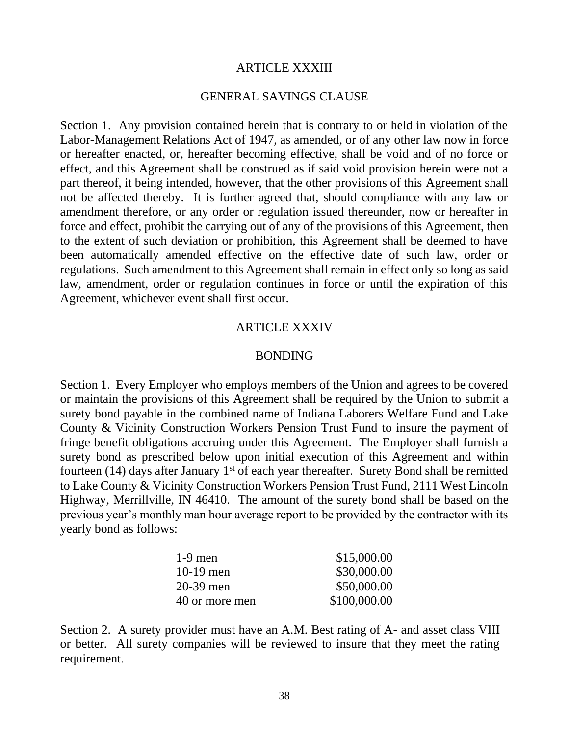#### ARTICLE XXXIII

#### GENERAL SAVINGS CLAUSE

Section 1. Any provision contained herein that is contrary to or held in violation of the Labor-Management Relations Act of 1947, as amended, or of any other law now in force or hereafter enacted, or, hereafter becoming effective, shall be void and of no force or effect, and this Agreement shall be construed as if said void provision herein were not a part thereof, it being intended, however, that the other provisions of this Agreement shall not be affected thereby. It is further agreed that, should compliance with any law or amendment therefore, or any order or regulation issued thereunder, now or hereafter in force and effect, prohibit the carrying out of any of the provisions of this Agreement, then to the extent of such deviation or prohibition, this Agreement shall be deemed to have been automatically amended effective on the effective date of such law, order or regulations. Such amendment to this Agreement shall remain in effect only so long as said law, amendment, order or regulation continues in force or until the expiration of this Agreement, whichever event shall first occur.

#### ARTICLE XXXIV

#### BONDING

Section 1. Every Employer who employs members of the Union and agrees to be covered or maintain the provisions of this Agreement shall be required by the Union to submit a surety bond payable in the combined name of Indiana Laborers Welfare Fund and Lake County & Vicinity Construction Workers Pension Trust Fund to insure the payment of fringe benefit obligations accruing under this Agreement. The Employer shall furnish a surety bond as prescribed below upon initial execution of this Agreement and within fourteen (14) days after January  $1<sup>st</sup>$  of each year thereafter. Surety Bond shall be remitted to Lake County & Vicinity Construction Workers Pension Trust Fund, 2111 West Lincoln Highway, Merrillville, IN 46410. The amount of the surety bond shall be based on the previous year's monthly man hour average report to be provided by the contractor with its yearly bond as follows:

| $1-9$ men      | \$15,000.00  |
|----------------|--------------|
| $10-19$ men    | \$30,000.00  |
| $20-39$ men    | \$50,000.00  |
| 40 or more men | \$100,000.00 |

Section 2. A surety provider must have an A.M. Best rating of A- and asset class VIII or better. All surety companies will be reviewed to insure that they meet the rating requirement.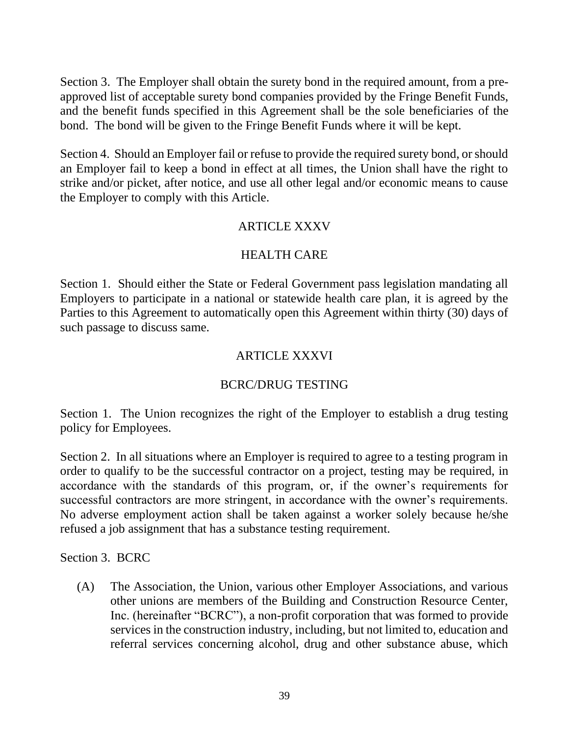Section 3. The Employer shall obtain the surety bond in the required amount, from a preapproved list of acceptable surety bond companies provided by the Fringe Benefit Funds, and the benefit funds specified in this Agreement shall be the sole beneficiaries of the bond. The bond will be given to the Fringe Benefit Funds where it will be kept.

Section 4. Should an Employer fail or refuse to provide the required surety bond, or should an Employer fail to keep a bond in effect at all times, the Union shall have the right to strike and/or picket, after notice, and use all other legal and/or economic means to cause the Employer to comply with this Article.

## ARTICLE XXXV

## HEALTH CARE

Section 1. Should either the State or Federal Government pass legislation mandating all Employers to participate in a national or statewide health care plan, it is agreed by the Parties to this Agreement to automatically open this Agreement within thirty (30) days of such passage to discuss same.

# ARTICLE XXXVI

# BCRC/DRUG TESTING

Section 1. The Union recognizes the right of the Employer to establish a drug testing policy for Employees.

Section 2. In all situations where an Employer is required to agree to a testing program in order to qualify to be the successful contractor on a project, testing may be required, in accordance with the standards of this program, or, if the owner's requirements for successful contractors are more stringent, in accordance with the owner's requirements. No adverse employment action shall be taken against a worker solely because he/she refused a job assignment that has a substance testing requirement.

Section 3. BCRC

(A) The Association, the Union, various other Employer Associations, and various other unions are members of the Building and Construction Resource Center, Inc. (hereinafter "BCRC"), a non-profit corporation that was formed to provide services in the construction industry, including, but not limited to, education and referral services concerning alcohol, drug and other substance abuse, which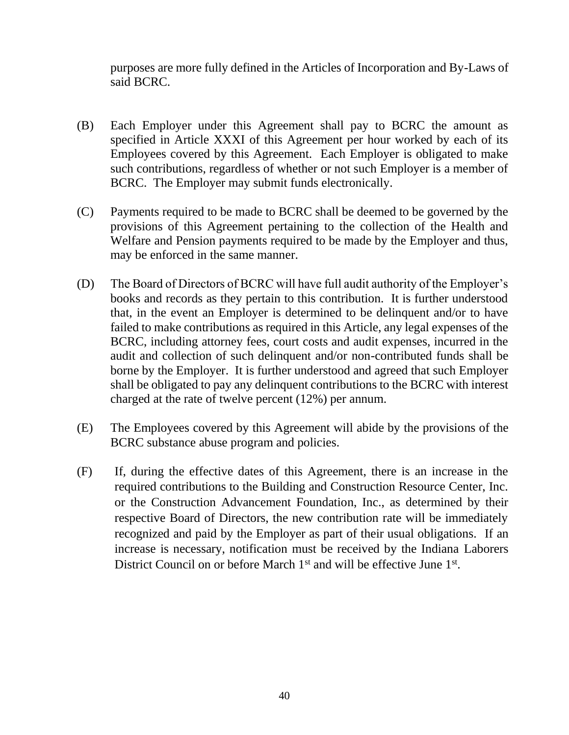purposes are more fully defined in the Articles of Incorporation and By-Laws of said BCRC.

- (B) Each Employer under this Agreement shall pay to BCRC the amount as specified in Article XXXI of this Agreement per hour worked by each of its Employees covered by this Agreement. Each Employer is obligated to make such contributions, regardless of whether or not such Employer is a member of BCRC. The Employer may submit funds electronically.
- (C) Payments required to be made to BCRC shall be deemed to be governed by the provisions of this Agreement pertaining to the collection of the Health and Welfare and Pension payments required to be made by the Employer and thus, may be enforced in the same manner.
- (D) The Board of Directors of BCRC will have full audit authority of the Employer's books and records as they pertain to this contribution. It is further understood that, in the event an Employer is determined to be delinquent and/or to have failed to make contributions as required in this Article, any legal expenses of the BCRC, including attorney fees, court costs and audit expenses, incurred in the audit and collection of such delinquent and/or non-contributed funds shall be borne by the Employer. It is further understood and agreed that such Employer shall be obligated to pay any delinquent contributions to the BCRC with interest charged at the rate of twelve percent (12%) per annum.
- (E) The Employees covered by this Agreement will abide by the provisions of the BCRC substance abuse program and policies.
- (F) If, during the effective dates of this Agreement, there is an increase in the required contributions to the Building and Construction Resource Center, Inc. or the Construction Advancement Foundation, Inc., as determined by their respective Board of Directors, the new contribution rate will be immediately recognized and paid by the Employer as part of their usual obligations. If an increase is necessary, notification must be received by the Indiana Laborers District Council on or before March  $1<sup>st</sup>$  and will be effective June  $1<sup>st</sup>$ .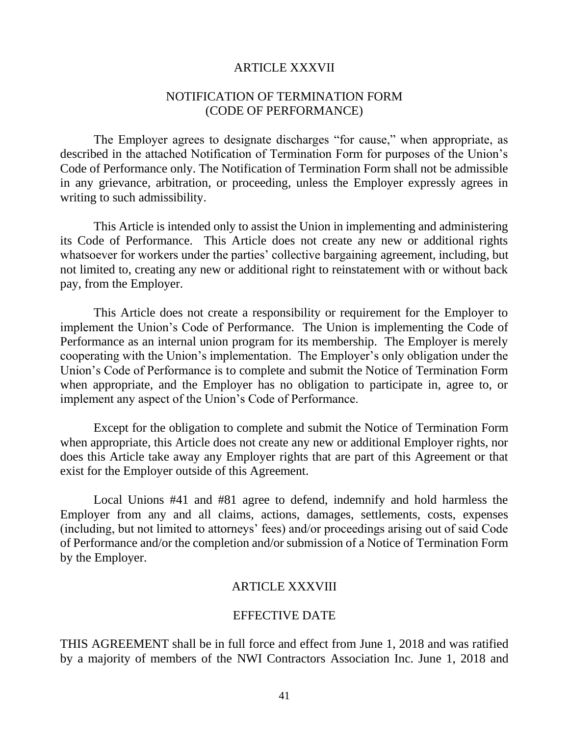#### ARTICLE XXXVII

#### NOTIFICATION OF TERMINATION FORM (CODE OF PERFORMANCE)

The Employer agrees to designate discharges "for cause," when appropriate, as described in the attached Notification of Termination Form for purposes of the Union's Code of Performance only. The Notification of Termination Form shall not be admissible in any grievance, arbitration, or proceeding, unless the Employer expressly agrees in writing to such admissibility.

This Article is intended only to assist the Union in implementing and administering its Code of Performance. This Article does not create any new or additional rights whatsoever for workers under the parties' collective bargaining agreement, including, but not limited to, creating any new or additional right to reinstatement with or without back pay, from the Employer.

This Article does not create a responsibility or requirement for the Employer to implement the Union's Code of Performance. The Union is implementing the Code of Performance as an internal union program for its membership. The Employer is merely cooperating with the Union's implementation. The Employer's only obligation under the Union's Code of Performance is to complete and submit the Notice of Termination Form when appropriate, and the Employer has no obligation to participate in, agree to, or implement any aspect of the Union's Code of Performance.

Except for the obligation to complete and submit the Notice of Termination Form when appropriate, this Article does not create any new or additional Employer rights, nor does this Article take away any Employer rights that are part of this Agreement or that exist for the Employer outside of this Agreement.

Local Unions #41 and #81 agree to defend, indemnify and hold harmless the Employer from any and all claims, actions, damages, settlements, costs, expenses (including, but not limited to attorneys' fees) and/or proceedings arising out of said Code of Performance and/or the completion and/or submission of a Notice of Termination Form by the Employer.

#### ARTICLE XXXVIII

#### EFFECTIVE DATE

THIS AGREEMENT shall be in full force and effect from June 1, 2018 and was ratified by a majority of members of the NWI Contractors Association Inc. June 1, 2018 and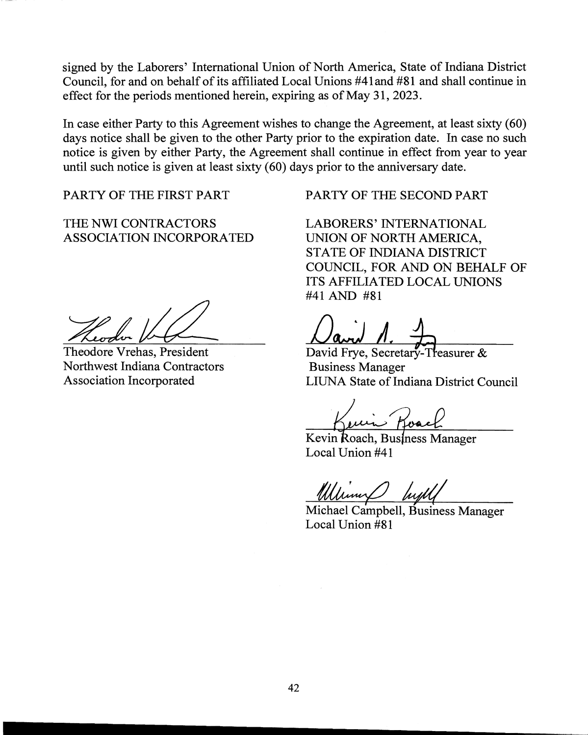signed by the Laborers' International Union of North America, State of Indiana District Council, for and on behalf of its affiliated Local Unions #41 and #81 and shall continue in effect for the periods mentioned herein, expiring as of May 31, 2023.

In case either Party to this Agreement wishes to change the Agreement, at least sixty (60) days notice shall be given to the other Party prior to the expiration date. In case no such notice is given by either Party, the Agreement shall continue in effect from year to year until such notice is given at least sixty (60) days prior to the anniversary date.

THE NWI CONTRACTORS LABORERS' INTERNATIONAL ASSOCIATION INCORPORATED UNION OF NORTH AMERICA,

Theodore Vrehas, President David Frye, Secretary-Treasurer & Northwest Indiana Contractors Business Manager

PARTY OF THE FIRST PART PARTY OF THE SECOND PART

STATE OF INDIANA DISTRICT COUNCIL, FOR AND ON BEHALF OF ITS AFFILIATED LOCAL UNIONS #41 AND #81

Association Incorporated LIUNA State of Indiana District Council

Kevin Roach, Business Manager Local Union #41

Michael Campbell, Business Manager Local Union #81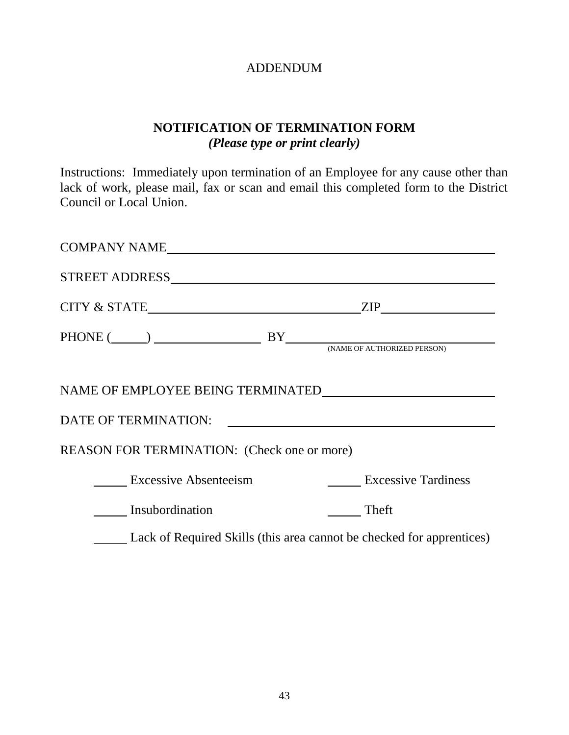# ADDENDUM

# **NOTIFICATION OF TERMINATION FORM** *(Please type or print clearly)*

Instructions: Immediately upon termination of an Employee for any cause other than lack of work, please mail, fax or scan and email this completed form to the District Council or Local Union.

| COMPANY NAME                                |                                                                                                                                                |
|---------------------------------------------|------------------------------------------------------------------------------------------------------------------------------------------------|
|                                             |                                                                                                                                                |
|                                             | $\mathsf{ZIP}\_$                                                                                                                               |
|                                             | $\text{PHONE} \; (\underline{\hspace{1cm}}) \; \underline{\hspace{1cm}} \text{BY} \underline{\hspace{1cm}} \text{(\textit{NAME of outputed})}$ |
|                                             |                                                                                                                                                |
|                                             | DATE OF TERMINATION:                                                                                                                           |
| REASON FOR TERMINATION: (Check one or more) |                                                                                                                                                |
| <b>Excessive Absenteeism</b>                | <b>Excessive Tardiness</b>                                                                                                                     |
| Insubordination                             | Theft                                                                                                                                          |
|                                             | Lack of Required Skills (this area cannot be checked for apprentices)                                                                          |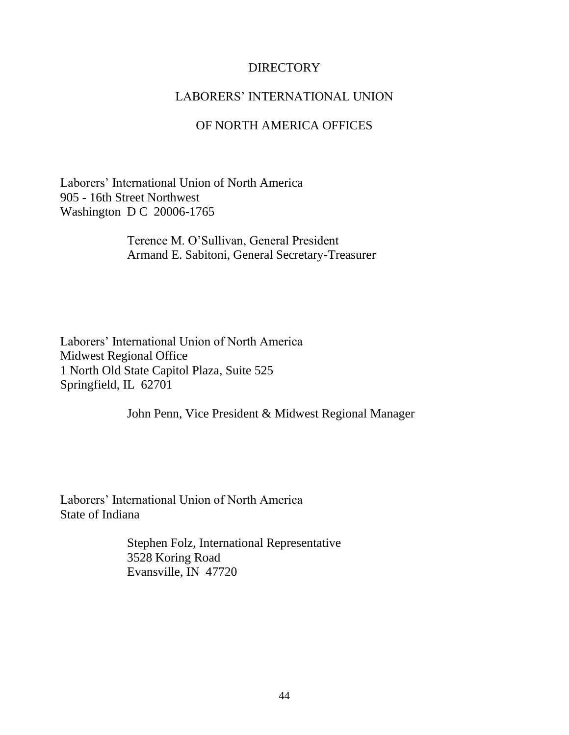## **DIRECTORY**

#### LABORERS' INTERNATIONAL UNION

#### OF NORTH AMERICA OFFICES

Laborers' International Union of North America 905 - 16th Street Northwest Washington D C 20006-1765

> Terence M. O'Sullivan, General President Armand E. Sabitoni, General Secretary-Treasurer

Laborers' International Union of North America Midwest Regional Office 1 North Old State Capitol Plaza, Suite 525 Springfield, IL 62701

John Penn, Vice President & Midwest Regional Manager

Laborers' International Union of North America State of Indiana

> Stephen Folz, International Representative 3528 Koring Road Evansville, IN 47720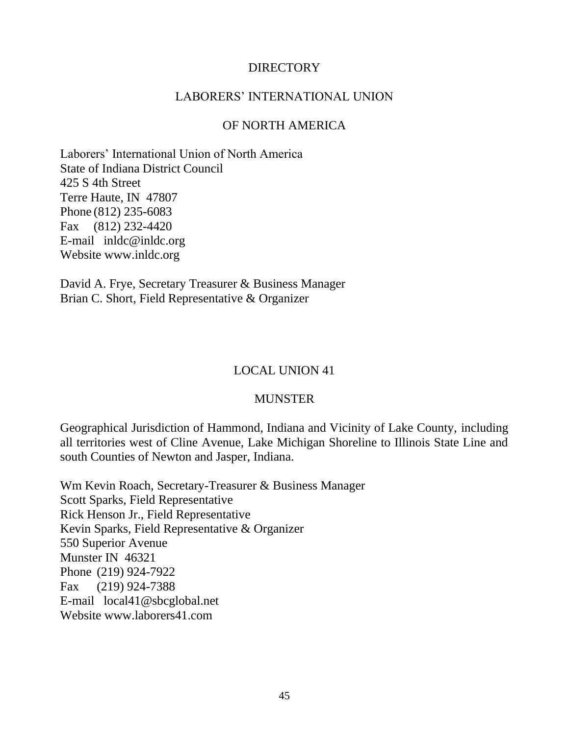## DIRECTORY

#### LABORERS' INTERNATIONAL UNION

#### OF NORTH AMERICA

Laborers' International Union of North America State of Indiana District Council 425 S 4th Street Terre Haute, IN 47807 Phone (812) 235-6083 Fax (812) 232-4420 E-mail inldc@inldc.org Website www.inldc.org

David A. Frye, Secretary Treasurer & Business Manager Brian C. Short, Field Representative & Organizer

#### LOCAL UNION 41

#### MUNSTER

Geographical Jurisdiction of Hammond, Indiana and Vicinity of Lake County, including all territories west of Cline Avenue, Lake Michigan Shoreline to Illinois State Line and south Counties of Newton and Jasper, Indiana.

Wm Kevin Roach, Secretary-Treasurer & Business Manager Scott Sparks, Field Representative Rick Henson Jr., Field Representative Kevin Sparks, Field Representative & Organizer 550 Superior Avenue Munster IN 46321 Phone (219) 924-7922 Fax (219) 924-7388 E-mail local41@sbcglobal.net Website www.laborers41.com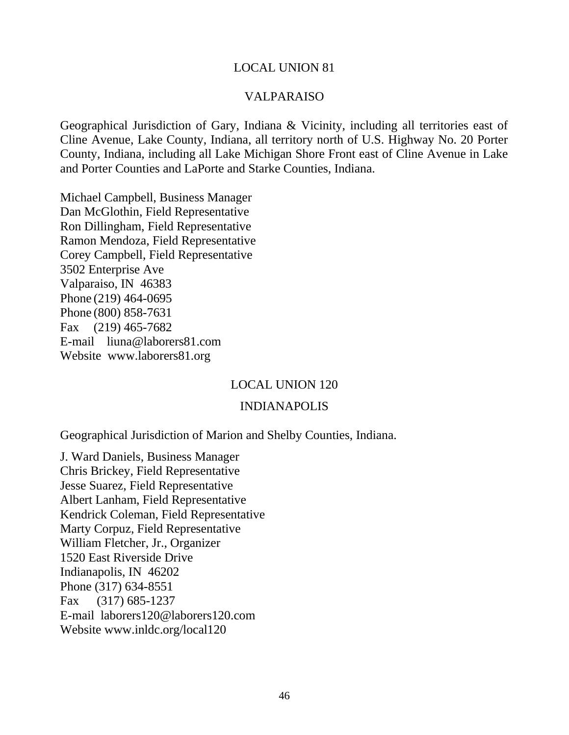#### VALPARAISO

Geographical Jurisdiction of Gary, Indiana & Vicinity, including all territories east of Cline Avenue, Lake County, Indiana, all territory north of U.S. Highway No. 20 Porter County, Indiana, including all Lake Michigan Shore Front east of Cline Avenue in Lake and Porter Counties and LaPorte and Starke Counties, Indiana.

Michael Campbell, Business Manager Dan McGlothin, Field Representative Ron Dillingham, Field Representative Ramon Mendoza, Field Representative Corey Campbell, Field Representative 3502 Enterprise Ave Valparaiso, IN 46383 Phone (219) 464-0695 Phone (800) 858-7631 Fax (219) 465-7682 E-mail liuna@laborers81.com Website www.laborers81.org

#### LOCAL UNION 120

#### INDIANAPOLIS

Geographical Jurisdiction of Marion and Shelby Counties, Indiana.

J. Ward Daniels, Business Manager Chris Brickey, Field Representative Jesse Suarez, Field Representative Albert Lanham, Field Representative Kendrick Coleman, Field Representative Marty Corpuz, Field Representative William Fletcher, Jr., Organizer 1520 East Riverside Drive Indianapolis, IN 46202 Phone (317) 634-8551 Fax (317) 685-1237 E-mail laborers120@laborers120.com Website www.inldc.org/local120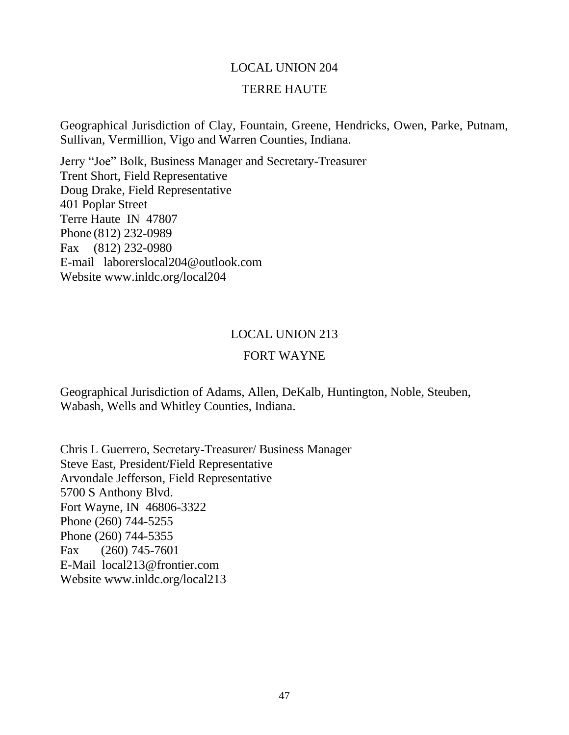#### TERRE HAUTE

Geographical Jurisdiction of Clay, Fountain, Greene, Hendricks, Owen, Parke, Putnam, Sullivan, Vermillion, Vigo and Warren Counties, Indiana.

Jerry "Joe" Bolk, Business Manager and Secretary-Treasurer Trent Short, Field Representative Doug Drake, Field Representative 401 Poplar Street Terre Haute IN 47807 Phone (812) 232-0989 Fax (812) 232-0980 E-mail laborerslocal204@outlook.com Website www.inldc.org/local204

#### LOCAL UNION 213

#### FORT WAYNE

Geographical Jurisdiction of Adams, Allen, DeKalb, Huntington, Noble, Steuben, Wabash, Wells and Whitley Counties, Indiana.

Chris L Guerrero, Secretary-Treasurer/ Business Manager Steve East, President/Field Representative Arvondale Jefferson, Field Representative 5700 S Anthony Blvd. Fort Wayne, IN 46806-3322 Phone (260) 744-5255 Phone (260) 744-5355 Fax (260) 745-7601 E-Mail local213@frontier.com Website www.inldc.org/local213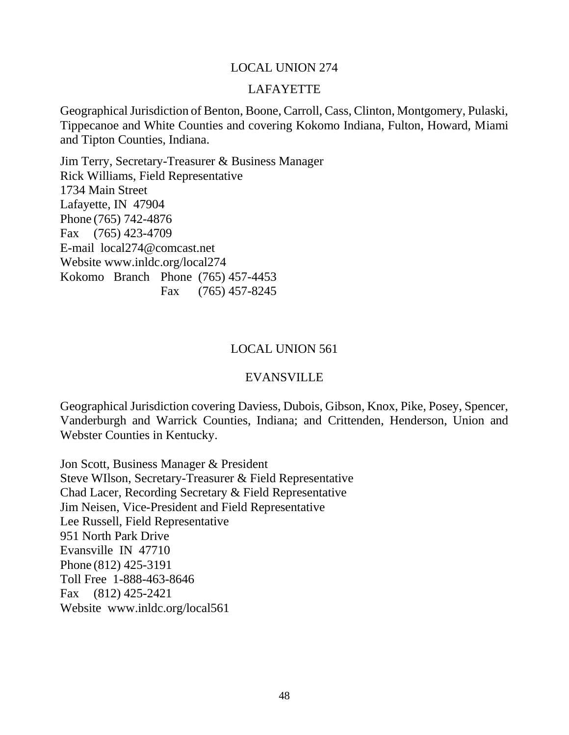#### LAFAYETTE

Geographical Jurisdiction of Benton, Boone, Carroll, Cass, Clinton, Montgomery, Pulaski, Tippecanoe and White Counties and covering Kokomo Indiana, Fulton, Howard, Miami and Tipton Counties, Indiana.

Jim Terry, Secretary-Treasurer & Business Manager Rick Williams, Field Representative 1734 Main Street Lafayette, IN 47904 Phone (765) 742-4876 Fax (765) 423-4709 E-mail local274@comcast.net Website www.inldc.org/local274 Kokomo Branch Phone (765) 457-4453 Fax (765) 457-8245

#### LOCAL UNION 561

#### EVANSVILLE

Geographical Jurisdiction covering Daviess, Dubois, Gibson, Knox, Pike, Posey, Spencer, Vanderburgh and Warrick Counties, Indiana; and Crittenden, Henderson, Union and Webster Counties in Kentucky.

Jon Scott, Business Manager & President Steve WIlson, Secretary-Treasurer & Field Representative Chad Lacer, Recording Secretary & Field Representative Jim Neisen, Vice-President and Field Representative Lee Russell, Field Representative 951 North Park Drive Evansville IN 47710 Phone (812) 425-3191 Toll Free 1-888-463-8646 Fax (812) 425-2421 Website www.inldc.org/local561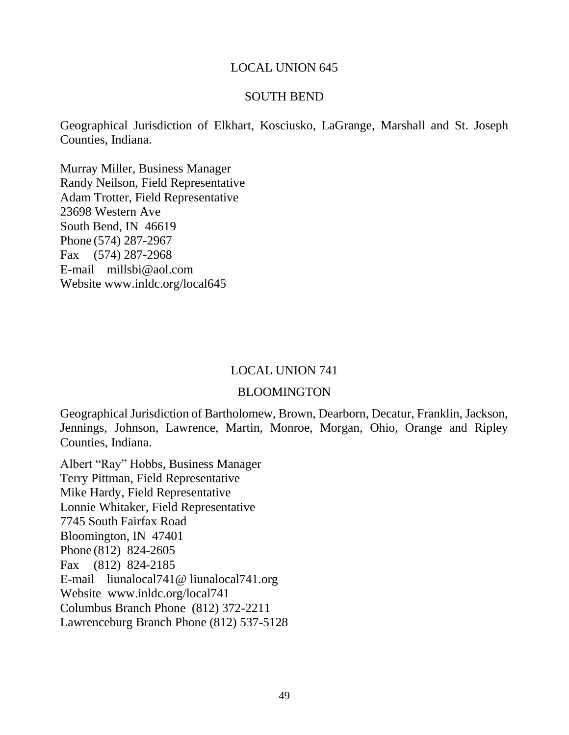#### SOUTH BEND

Geographical Jurisdiction of Elkhart, Kosciusko, LaGrange, Marshall and St. Joseph Counties, Indiana.

Murray Miller, Business Manager Randy Neilson, Field Representative Adam Trotter, Field Representative 23698 Western Ave South Bend, IN 46619 Phone (574) 287-2967 Fax (574) 287-2968 E-mail millsbi@aol.com Website www.inldc.org/local645

#### LOCAL UNION 741

#### BLOOMINGTON

Geographical Jurisdiction of Bartholomew, Brown, Dearborn, Decatur, Franklin, Jackson, Jennings, Johnson, Lawrence, Martin, Monroe, Morgan, Ohio, Orange and Ripley Counties, Indiana.

Albert "Ray" Hobbs, Business Manager Terry Pittman, Field Representative Mike Hardy, Field Representative Lonnie Whitaker, Field Representative 7745 South Fairfax Road Bloomington, IN 47401 Phone (812) 824-2605 Fax (812) 824-2185 E-mail liunalocal741@ liunalocal741.org Website www.inldc.org/local741 Columbus Branch Phone (812) 372-2211 Lawrenceburg Branch Phone (812) 537-5128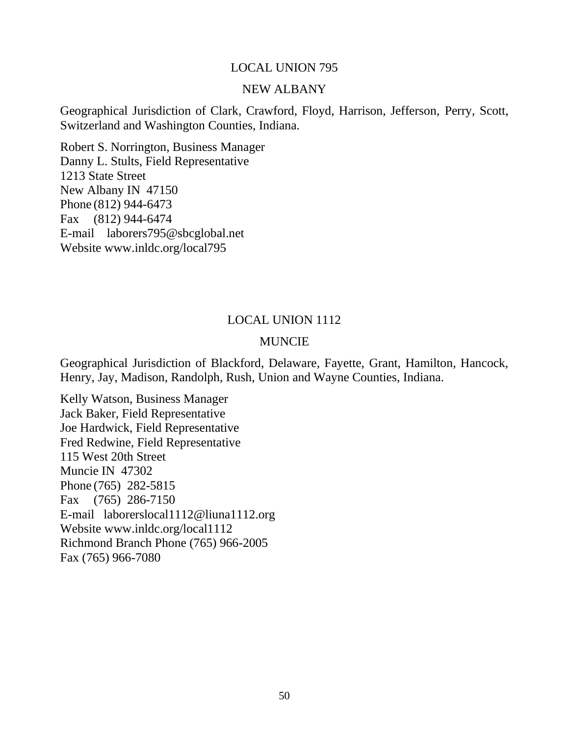#### NEW ALBANY

Geographical Jurisdiction of Clark, Crawford, Floyd, Harrison, Jefferson, Perry, Scott, Switzerland and Washington Counties, Indiana.

Robert S. Norrington, Business Manager Danny L. Stults, Field Representative 1213 State Street New Albany IN 47150 Phone (812) 944-6473 Fax (812) 944-6474 E-mail laborers795@sbcglobal.net Website www.inldc.org/local795

#### LOCAL UNION 1112

#### MUNCIE

Geographical Jurisdiction of Blackford, Delaware, Fayette, Grant, Hamilton, Hancock, Henry, Jay, Madison, Randolph, Rush, Union and Wayne Counties, Indiana.

Kelly Watson, Business Manager Jack Baker, Field Representative Joe Hardwick, Field Representative Fred Redwine, Field Representative 115 West 20th Street Muncie IN 47302 Phone (765) 282-5815 Fax (765) 286-7150 E-mail laborerslocal1112@liuna1112.org Website www.inldc.org/local1112 Richmond Branch Phone (765) 966-2005 Fax (765) 966-7080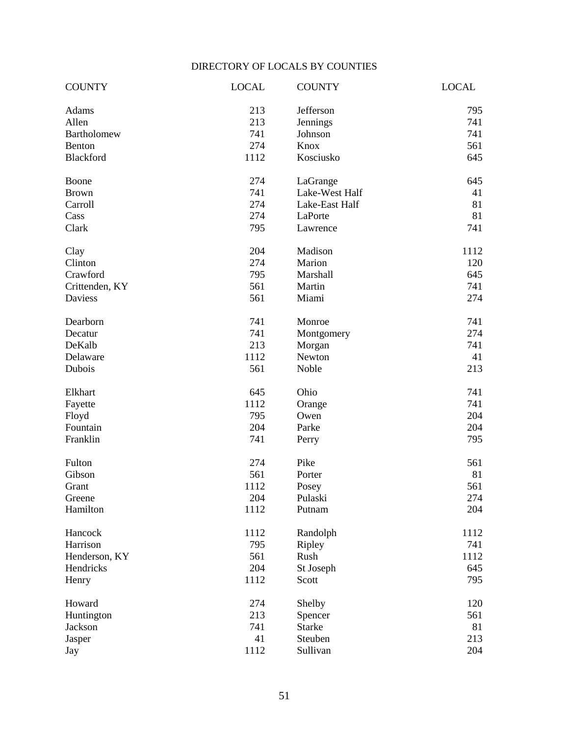## DIRECTORY OF LOCALS BY COUNTIES

| <b>COUNTY</b>      | <b>LOCAL</b> | <b>COUNTY</b>  | <b>LOCAL</b> |
|--------------------|--------------|----------------|--------------|
| Adams              | 213          | Jefferson      | 795          |
| Allen              | 213          | Jennings       | 741          |
| <b>Bartholomew</b> | 741          | Johnson        | 741          |
| Benton             | 274          | Knox           | 561          |
| Blackford          | 1112         | Kosciusko      | 645          |
| Boone              | 274          | LaGrange       | 645          |
| <b>Brown</b>       | 741          | Lake-West Half | 41           |
| Carroll            | 274          | Lake-East Half | 81           |
| Cass               | 274          | LaPorte        | 81           |
| Clark              | 795          | Lawrence       | 741          |
| Clay               | 204          | Madison        | 1112         |
| Clinton            | 274          | Marion         | 120          |
| Crawford           | 795          | Marshall       | 645          |
| Crittenden, KY     | 561          | Martin         | 741          |
| Daviess            | 561          | Miami          | 274          |
| Dearborn           | 741          | Monroe         | 741          |
| Decatur            | 741          | Montgomery     | 274          |
| DeKalb             | 213          | Morgan         | 741          |
| Delaware           | 1112         | Newton         | 41           |
| Dubois             | 561          | Noble          | 213          |
| Elkhart            | 645          | Ohio           | 741          |
| Fayette            | 1112         | Orange         | 741          |
| Floyd              | 795          | Owen           | 204          |
| Fountain           | 204          | Parke          | 204          |
| Franklin           | 741          | Perry          | 795          |
| Fulton             | 274          | Pike           | 561          |
| Gibson             | 561          | Porter         | 81           |
| Grant              | 1112         | Posey          | 561          |
| Greene             | 204          | Pulaski        | 274          |
| Hamilton           | 1112         | Putnam         | 204          |
| Hancock            | 1112         | Randolph       | 1112         |
| Harrison           | 795          | Ripley         | 741          |
| Henderson, KY      | 561          | Rush           | 1112         |
| Hendricks          | 204          | St Joseph      | 645          |
| Henry              | 1112         | Scott          | 795          |
| Howard             | 274          | Shelby         | 120          |
| Huntington         | 213          | Spencer        | 561          |
| Jackson            | 741          | <b>Starke</b>  | 81           |
| Jasper             | 41           | Steuben        | 213          |
| Jay                | 1112         | Sullivan       | 204          |